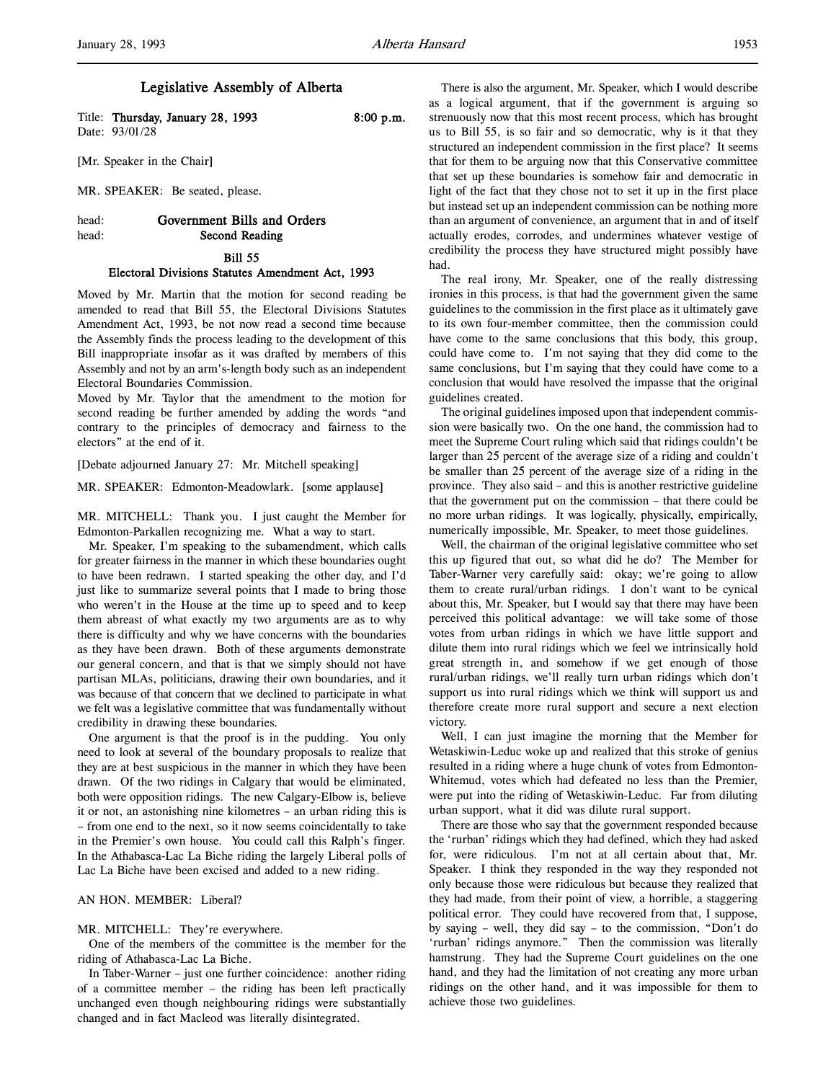Title: Thursday, January 28, 1993 8:00 p.m. Date: 93/01/28

[Mr. Speaker in the Chair]

MR. SPEAKER: Be seated, please.

# head: Government Bills and Orders head: Second Reading

#### Bill 55

### Electoral Divisions Statutes Amendment Act, 1993

Moved by Mr. Martin that the motion for second reading be amended to read that Bill 55, the Electoral Divisions Statutes Amendment Act, 1993, be not now read a second time because the Assembly finds the process leading to the development of this Bill inappropriate insofar as it was drafted by members of this Assembly and not by an arm's-length body such as an independent Electoral Boundaries Commission.

Moved by Mr. Taylor that the amendment to the motion for second reading be further amended by adding the words "and contrary to the principles of democracy and fairness to the electors" at the end of it.

[Debate adjourned January 27: Mr. Mitchell speaking]

MR. SPEAKER: Edmonton-Meadowlark. [some applause]

MR. MITCHELL: Thank you. I just caught the Member for Edmonton-Parkallen recognizing me. What a way to start.

Mr. Speaker, I'm speaking to the subamendment, which calls for greater fairness in the manner in which these boundaries ought to have been redrawn. I started speaking the other day, and I'd just like to summarize several points that I made to bring those who weren't in the House at the time up to speed and to keep them abreast of what exactly my two arguments are as to why there is difficulty and why we have concerns with the boundaries as they have been drawn. Both of these arguments demonstrate our general concern, and that is that we simply should not have partisan MLAs, politicians, drawing their own boundaries, and it was because of that concern that we declined to participate in what we felt was a legislative committee that was fundamentally without credibility in drawing these boundaries.

One argument is that the proof is in the pudding. You only need to look at several of the boundary proposals to realize that they are at best suspicious in the manner in which they have been drawn. Of the two ridings in Calgary that would be eliminated, both were opposition ridings. The new Calgary-Elbow is, believe it or not, an astonishing nine kilometres – an urban riding this is – from one end to the next, so it now seems coincidentally to take in the Premier's own house. You could call this Ralph's finger. In the Athabasca-Lac La Biche riding the largely Liberal polls of Lac La Biche have been excised and added to a new riding.

### AN HON. MEMBER: Liberal?

# MR. MITCHELL: They're everywhere.

One of the members of the committee is the member for the riding of Athabasca-Lac La Biche.

In Taber-Warner – just one further coincidence: another riding of a committee member – the riding has been left practically unchanged even though neighbouring ridings were substantially changed and in fact Macleod was literally disintegrated.

There is also the argument, Mr. Speaker, which I would describe as a logical argument, that if the government is arguing so strenuously now that this most recent process, which has brought us to Bill 55, is so fair and so democratic, why is it that they structured an independent commission in the first place? It seems that for them to be arguing now that this Conservative committee that set up these boundaries is somehow fair and democratic in light of the fact that they chose not to set it up in the first place but instead set up an independent commission can be nothing more than an argument of convenience, an argument that in and of itself actually erodes, corrodes, and undermines whatever vestige of credibility the process they have structured might possibly have had.

The real irony, Mr. Speaker, one of the really distressing ironies in this process, is that had the government given the same guidelines to the commission in the first place as it ultimately gave to its own four-member committee, then the commission could have come to the same conclusions that this body, this group, could have come to. I'm not saying that they did come to the same conclusions, but I'm saying that they could have come to a conclusion that would have resolved the impasse that the original guidelines created.

The original guidelines imposed upon that independent commission were basically two. On the one hand, the commission had to meet the Supreme Court ruling which said that ridings couldn't be larger than 25 percent of the average size of a riding and couldn't be smaller than 25 percent of the average size of a riding in the province. They also said – and this is another restrictive guideline that the government put on the commission – that there could be no more urban ridings. It was logically, physically, empirically, numerically impossible, Mr. Speaker, to meet those guidelines.

Well, the chairman of the original legislative committee who set this up figured that out, so what did he do? The Member for Taber-Warner very carefully said: okay; we're going to allow them to create rural/urban ridings. I don't want to be cynical about this, Mr. Speaker, but I would say that there may have been perceived this political advantage: we will take some of those votes from urban ridings in which we have little support and dilute them into rural ridings which we feel we intrinsically hold great strength in, and somehow if we get enough of those rural/urban ridings, we'll really turn urban ridings which don't support us into rural ridings which we think will support us and therefore create more rural support and secure a next election victory.

Well, I can just imagine the morning that the Member for Wetaskiwin-Leduc woke up and realized that this stroke of genius resulted in a riding where a huge chunk of votes from Edmonton-Whitemud, votes which had defeated no less than the Premier, were put into the riding of Wetaskiwin-Leduc. Far from diluting urban support, what it did was dilute rural support.

There are those who say that the government responded because the 'rurban' ridings which they had defined, which they had asked for, were ridiculous. I'm not at all certain about that, Mr. Speaker. I think they responded in the way they responded not only because those were ridiculous but because they realized that they had made, from their point of view, a horrible, a staggering political error. They could have recovered from that, I suppose, by saying – well, they did say – to the commission, "Don't do 'rurban' ridings anymore." Then the commission was literally hamstrung. They had the Supreme Court guidelines on the one hand, and they had the limitation of not creating any more urban ridings on the other hand, and it was impossible for them to achieve those two guidelines.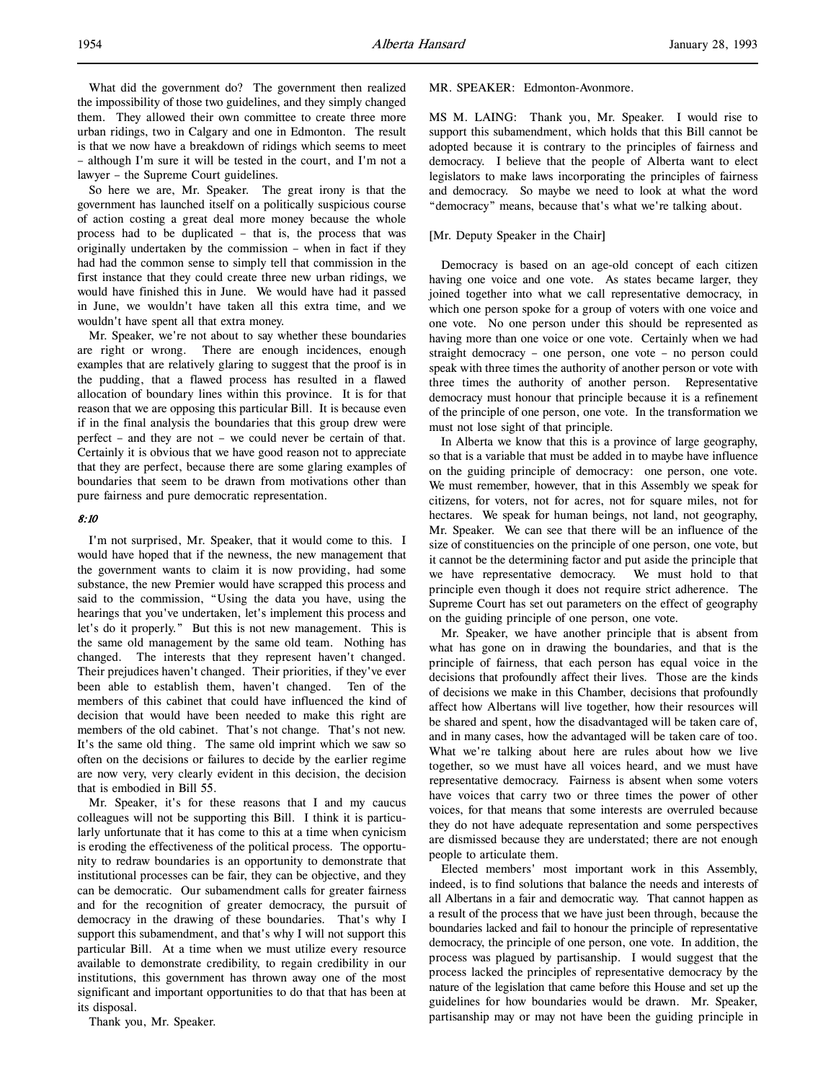What did the government do? The government then realized the impossibility of those two guidelines, and they simply changed them. They allowed their own committee to create three more urban ridings, two in Calgary and one in Edmonton. The result is that we now have a breakdown of ridings which seems to meet – although I'm sure it will be tested in the court, and I'm not a lawyer – the Supreme Court guidelines.

So here we are, Mr. Speaker. The great irony is that the government has launched itself on a politically suspicious course of action costing a great deal more money because the whole process had to be duplicated – that is, the process that was originally undertaken by the commission – when in fact if they had had the common sense to simply tell that commission in the first instance that they could create three new urban ridings, we would have finished this in June. We would have had it passed in June, we wouldn't have taken all this extra time, and we wouldn't have spent all that extra money.

Mr. Speaker, we're not about to say whether these boundaries are right or wrong. There are enough incidences, enough examples that are relatively glaring to suggest that the proof is in the pudding, that a flawed process has resulted in a flawed allocation of boundary lines within this province. It is for that reason that we are opposing this particular Bill. It is because even if in the final analysis the boundaries that this group drew were perfect – and they are not – we could never be certain of that. Certainly it is obvious that we have good reason not to appreciate that they are perfect, because there are some glaring examples of boundaries that seem to be drawn from motivations other than pure fairness and pure democratic representation.

# 8:10

I'm not surprised, Mr. Speaker, that it would come to this. I would have hoped that if the newness, the new management that the government wants to claim it is now providing, had some substance, the new Premier would have scrapped this process and said to the commission, "Using the data you have, using the hearings that you've undertaken, let's implement this process and let's do it properly." But this is not new management. This is the same old management by the same old team. Nothing has changed. The interests that they represent haven't changed. Their prejudices haven't changed. Their priorities, if they've ever been able to establish them, haven't changed. Ten of the members of this cabinet that could have influenced the kind of decision that would have been needed to make this right are members of the old cabinet. That's not change. That's not new. It's the same old thing. The same old imprint which we saw so often on the decisions or failures to decide by the earlier regime are now very, very clearly evident in this decision, the decision that is embodied in Bill 55.

Mr. Speaker, it's for these reasons that I and my caucus colleagues will not be supporting this Bill. I think it is particularly unfortunate that it has come to this at a time when cynicism is eroding the effectiveness of the political process. The opportunity to redraw boundaries is an opportunity to demonstrate that institutional processes can be fair, they can be objective, and they can be democratic. Our subamendment calls for greater fairness and for the recognition of greater democracy, the pursuit of democracy in the drawing of these boundaries. That's why I support this subamendment, and that's why I will not support this particular Bill. At a time when we must utilize every resource available to demonstrate credibility, to regain credibility in our institutions, this government has thrown away one of the most significant and important opportunities to do that that has been at its disposal.

Thank you, Mr. Speaker.

### MR. SPEAKER: Edmonton-Avonmore.

MS M. LAING: Thank you, Mr. Speaker. I would rise to support this subamendment, which holds that this Bill cannot be adopted because it is contrary to the principles of fairness and democracy. I believe that the people of Alberta want to elect legislators to make laws incorporating the principles of fairness and democracy. So maybe we need to look at what the word "democracy" means, because that's what we're talking about.

### [Mr. Deputy Speaker in the Chair]

Democracy is based on an age-old concept of each citizen having one voice and one vote. As states became larger, they joined together into what we call representative democracy, in which one person spoke for a group of voters with one voice and one vote. No one person under this should be represented as having more than one voice or one vote. Certainly when we had straight democracy – one person, one vote – no person could speak with three times the authority of another person or vote with three times the authority of another person. Representative democracy must honour that principle because it is a refinement of the principle of one person, one vote. In the transformation we must not lose sight of that principle.

In Alberta we know that this is a province of large geography, so that is a variable that must be added in to maybe have influence on the guiding principle of democracy: one person, one vote. We must remember, however, that in this Assembly we speak for citizens, for voters, not for acres, not for square miles, not for hectares. We speak for human beings, not land, not geography, Mr. Speaker. We can see that there will be an influence of the size of constituencies on the principle of one person, one vote, but it cannot be the determining factor and put aside the principle that we have representative democracy. We must hold to that principle even though it does not require strict adherence. The Supreme Court has set out parameters on the effect of geography on the guiding principle of one person, one vote.

Mr. Speaker, we have another principle that is absent from what has gone on in drawing the boundaries, and that is the principle of fairness, that each person has equal voice in the decisions that profoundly affect their lives. Those are the kinds of decisions we make in this Chamber, decisions that profoundly affect how Albertans will live together, how their resources will be shared and spent, how the disadvantaged will be taken care of, and in many cases, how the advantaged will be taken care of too. What we're talking about here are rules about how we live together, so we must have all voices heard, and we must have representative democracy. Fairness is absent when some voters have voices that carry two or three times the power of other voices, for that means that some interests are overruled because they do not have adequate representation and some perspectives are dismissed because they are understated; there are not enough people to articulate them.

Elected members' most important work in this Assembly, indeed, is to find solutions that balance the needs and interests of all Albertans in a fair and democratic way. That cannot happen as a result of the process that we have just been through, because the boundaries lacked and fail to honour the principle of representative democracy, the principle of one person, one vote. In addition, the process was plagued by partisanship. I would suggest that the process lacked the principles of representative democracy by the nature of the legislation that came before this House and set up the guidelines for how boundaries would be drawn. Mr. Speaker, partisanship may or may not have been the guiding principle in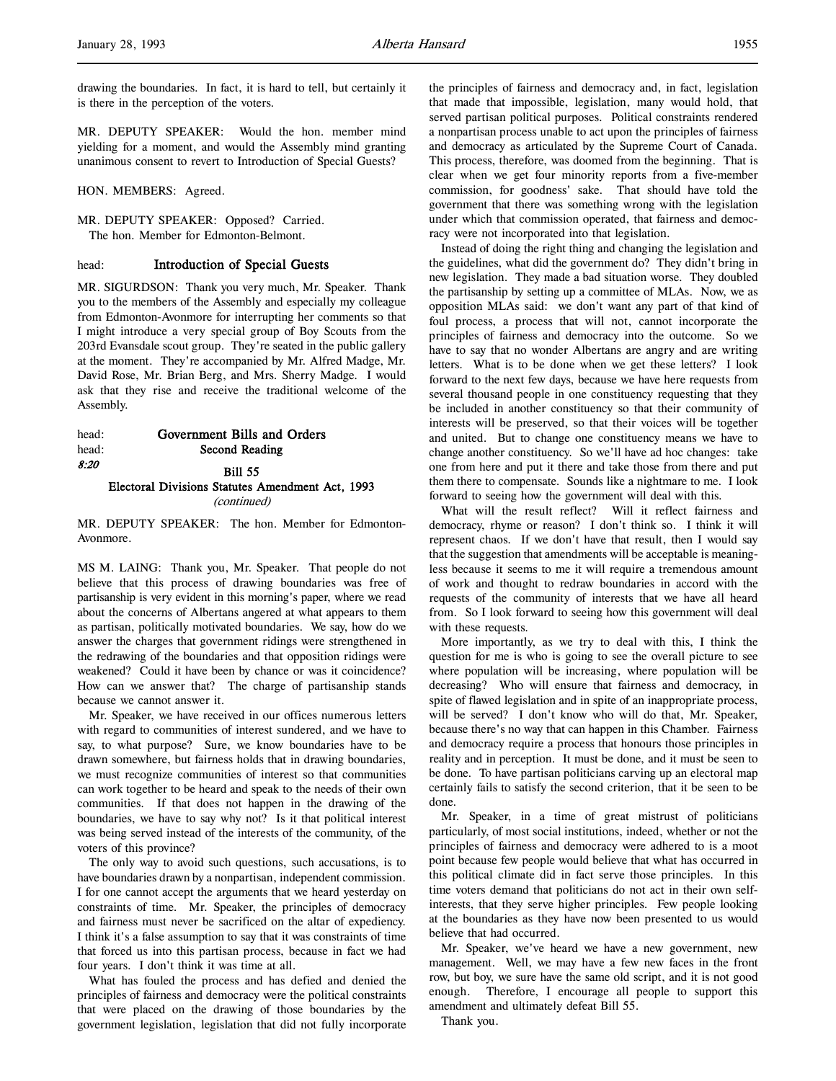MR. DEPUTY SPEAKER: Would the hon. member mind yielding for a moment, and would the Assembly mind granting unanimous consent to revert to Introduction of Special Guests?

HON. MEMBERS: Agreed.

MR. DEPUTY SPEAKER: Opposed? Carried. The hon. Member for Edmonton-Belmont.

# head: Introduction of Special Guests

MR. SIGURDSON: Thank you very much, Mr. Speaker. Thank you to the members of the Assembly and especially my colleague from Edmonton-Avonmore for interrupting her comments so that I might introduce a very special group of Boy Scouts from the 203rd Evansdale scout group. They're seated in the public gallery at the moment. They're accompanied by Mr. Alfred Madge, Mr. David Rose, Mr. Brian Berg, and Mrs. Sherry Madge. I would ask that they rise and receive the traditional welcome of the Assembly.

# head: Government Bills and Orders head: Second Reading 8:20 **Bill 55** Electoral Divisions Statutes Amendment Act, 1993 (continued)

MR. DEPUTY SPEAKER: The hon. Member for Edmonton-Avonmore.

MS M. LAING: Thank you, Mr. Speaker. That people do not believe that this process of drawing boundaries was free of partisanship is very evident in this morning's paper, where we read about the concerns of Albertans angered at what appears to them as partisan, politically motivated boundaries. We say, how do we answer the charges that government ridings were strengthened in the redrawing of the boundaries and that opposition ridings were weakened? Could it have been by chance or was it coincidence? How can we answer that? The charge of partisanship stands because we cannot answer it.

Mr. Speaker, we have received in our offices numerous letters with regard to communities of interest sundered, and we have to say, to what purpose? Sure, we know boundaries have to be drawn somewhere, but fairness holds that in drawing boundaries, we must recognize communities of interest so that communities can work together to be heard and speak to the needs of their own communities. If that does not happen in the drawing of the boundaries, we have to say why not? Is it that political interest was being served instead of the interests of the community, of the voters of this province?

The only way to avoid such questions, such accusations, is to have boundaries drawn by a nonpartisan, independent commission. I for one cannot accept the arguments that we heard yesterday on constraints of time. Mr. Speaker, the principles of democracy and fairness must never be sacrificed on the altar of expediency. I think it's a false assumption to say that it was constraints of time that forced us into this partisan process, because in fact we had four years. I don't think it was time at all.

What has fouled the process and has defied and denied the principles of fairness and democracy were the political constraints that were placed on the drawing of those boundaries by the government legislation, legislation that did not fully incorporate

the principles of fairness and democracy and, in fact, legislation that made that impossible, legislation, many would hold, that served partisan political purposes. Political constraints rendered a nonpartisan process unable to act upon the principles of fairness and democracy as articulated by the Supreme Court of Canada. This process, therefore, was doomed from the beginning. That is clear when we get four minority reports from a five-member commission, for goodness' sake. That should have told the government that there was something wrong with the legislation under which that commission operated, that fairness and democracy were not incorporated into that legislation.

Instead of doing the right thing and changing the legislation and the guidelines, what did the government do? They didn't bring in new legislation. They made a bad situation worse. They doubled the partisanship by setting up a committee of MLAs. Now, we as opposition MLAs said: we don't want any part of that kind of foul process, a process that will not, cannot incorporate the principles of fairness and democracy into the outcome. So we have to say that no wonder Albertans are angry and are writing letters. What is to be done when we get these letters? I look forward to the next few days, because we have here requests from several thousand people in one constituency requesting that they be included in another constituency so that their community of interests will be preserved, so that their voices will be together and united. But to change one constituency means we have to change another constituency. So we'll have ad hoc changes: take one from here and put it there and take those from there and put them there to compensate. Sounds like a nightmare to me. I look forward to seeing how the government will deal with this.

What will the result reflect? Will it reflect fairness and democracy, rhyme or reason? I don't think so. I think it will represent chaos. If we don't have that result, then I would say that the suggestion that amendments will be acceptable is meaningless because it seems to me it will require a tremendous amount of work and thought to redraw boundaries in accord with the requests of the community of interests that we have all heard from. So I look forward to seeing how this government will deal with these requests.

More importantly, as we try to deal with this, I think the question for me is who is going to see the overall picture to see where population will be increasing, where population will be decreasing? Who will ensure that fairness and democracy, in spite of flawed legislation and in spite of an inappropriate process, will be served? I don't know who will do that, Mr. Speaker, because there's no way that can happen in this Chamber. Fairness and democracy require a process that honours those principles in reality and in perception. It must be done, and it must be seen to be done. To have partisan politicians carving up an electoral map certainly fails to satisfy the second criterion, that it be seen to be done.

Mr. Speaker, in a time of great mistrust of politicians particularly, of most social institutions, indeed, whether or not the principles of fairness and democracy were adhered to is a moot point because few people would believe that what has occurred in this political climate did in fact serve those principles. In this time voters demand that politicians do not act in their own selfinterests, that they serve higher principles. Few people looking at the boundaries as they have now been presented to us would believe that had occurred.

Mr. Speaker, we've heard we have a new government, new management. Well, we may have a few new faces in the front row, but boy, we sure have the same old script, and it is not good enough. Therefore, I encourage all people to support this amendment and ultimately defeat Bill 55.

Thank you.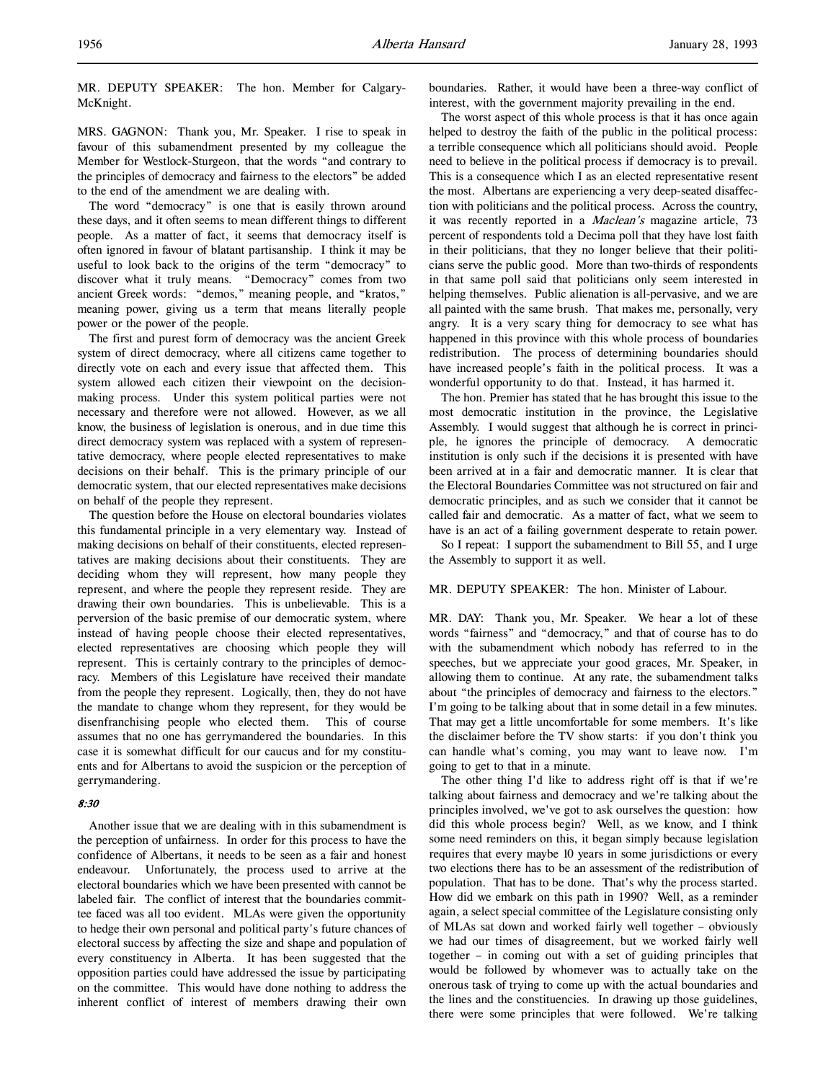MR. DEPUTY SPEAKER: The hon. Member for Calgary-McKnight.

MRS. GAGNON: Thank you, Mr. Speaker. I rise to speak in favour of this subamendment presented by my colleague the Member for Westlock-Sturgeon, that the words "and contrary to the principles of democracy and fairness to the electors" be added to the end of the amendment we are dealing with.

The word "democracy" is one that is easily thrown around these days, and it often seems to mean different things to different people. As a matter of fact, it seems that democracy itself is often ignored in favour of blatant partisanship. I think it may be useful to look back to the origins of the term "democracy" to discover what it truly means. "Democracy" comes from two ancient Greek words: "demos," meaning people, and "kratos," meaning power, giving us a term that means literally people power or the power of the people.

The first and purest form of democracy was the ancient Greek system of direct democracy, where all citizens came together to directly vote on each and every issue that affected them. This system allowed each citizen their viewpoint on the decisionmaking process. Under this system political parties were not necessary and therefore were not allowed. However, as we all know, the business of legislation is onerous, and in due time this direct democracy system was replaced with a system of representative democracy, where people elected representatives to make decisions on their behalf. This is the primary principle of our democratic system, that our elected representatives make decisions on behalf of the people they represent.

The question before the House on electoral boundaries violates this fundamental principle in a very elementary way. Instead of making decisions on behalf of their constituents, elected representatives are making decisions about their constituents. They are deciding whom they will represent, how many people they represent, and where the people they represent reside. They are drawing their own boundaries. This is unbelievable. This is a perversion of the basic premise of our democratic system, where instead of having people choose their elected representatives, elected representatives are choosing which people they will represent. This is certainly contrary to the principles of democracy. Members of this Legislature have received their mandate from the people they represent. Logically, then, they do not have the mandate to change whom they represent, for they would be disenfranchising people who elected them. This of course assumes that no one has gerrymandered the boundaries. In this case it is somewhat difficult for our caucus and for my constituents and for Albertans to avoid the suspicion or the perception of gerrymandering.

# 8:30

Another issue that we are dealing with in this subamendment is the perception of unfairness. In order for this process to have the confidence of Albertans, it needs to be seen as a fair and honest endeavour. Unfortunately, the process used to arrive at the electoral boundaries which we have been presented with cannot be labeled fair. The conflict of interest that the boundaries committee faced was all too evident. MLAs were given the opportunity to hedge their own personal and political party's future chances of electoral success by affecting the size and shape and population of every constituency in Alberta. It has been suggested that the opposition parties could have addressed the issue by participating on the committee. This would have done nothing to address the inherent conflict of interest of members drawing their own

boundaries. Rather, it would have been a three-way conflict of interest, with the government majority prevailing in the end.

The worst aspect of this whole process is that it has once again helped to destroy the faith of the public in the political process: a terrible consequence which all politicians should avoid. People need to believe in the political process if democracy is to prevail. This is a consequence which I as an elected representative resent the most. Albertans are experiencing a very deep-seated disaffection with politicians and the political process. Across the country, it was recently reported in a Maclean's magazine article, 73 percent of respondents told a Decima poll that they have lost faith in their politicians, that they no longer believe that their politicians serve the public good. More than two-thirds of respondents in that same poll said that politicians only seem interested in helping themselves. Public alienation is all-pervasive, and we are all painted with the same brush. That makes me, personally, very angry. It is a very scary thing for democracy to see what has happened in this province with this whole process of boundaries redistribution. The process of determining boundaries should have increased people's faith in the political process. It was a wonderful opportunity to do that. Instead, it has harmed it.

The hon. Premier has stated that he has brought this issue to the most democratic institution in the province, the Legislative Assembly. I would suggest that although he is correct in principle, he ignores the principle of democracy. A democratic institution is only such if the decisions it is presented with have been arrived at in a fair and democratic manner. It is clear that the Electoral Boundaries Committee was not structured on fair and democratic principles, and as such we consider that it cannot be called fair and democratic. As a matter of fact, what we seem to have is an act of a failing government desperate to retain power.

So I repeat: I support the subamendment to Bill 55, and I urge the Assembly to support it as well.

# MR. DEPUTY SPEAKER: The hon. Minister of Labour.

MR. DAY: Thank you, Mr. Speaker. We hear a lot of these words "fairness" and "democracy," and that of course has to do with the subamendment which nobody has referred to in the speeches, but we appreciate your good graces, Mr. Speaker, in allowing them to continue. At any rate, the subamendment talks about "the principles of democracy and fairness to the electors." I'm going to be talking about that in some detail in a few minutes. That may get a little uncomfortable for some members. It's like the disclaimer before the TV show starts: if you don't think you can handle what's coming, you may want to leave now. I'm going to get to that in a minute.

The other thing I'd like to address right off is that if we're talking about fairness and democracy and we're talking about the principles involved, we've got to ask ourselves the question: how did this whole process begin? Well, as we know, and I think some need reminders on this, it began simply because legislation requires that every maybe 10 years in some jurisdictions or every two elections there has to be an assessment of the redistribution of population. That has to be done. That's why the process started. How did we embark on this path in 1990? Well, as a reminder again, a select special committee of the Legislature consisting only of MLAs sat down and worked fairly well together – obviously we had our times of disagreement, but we worked fairly well together – in coming out with a set of guiding principles that would be followed by whomever was to actually take on the onerous task of trying to come up with the actual boundaries and the lines and the constituencies. In drawing up those guidelines, there were some principles that were followed. We're talking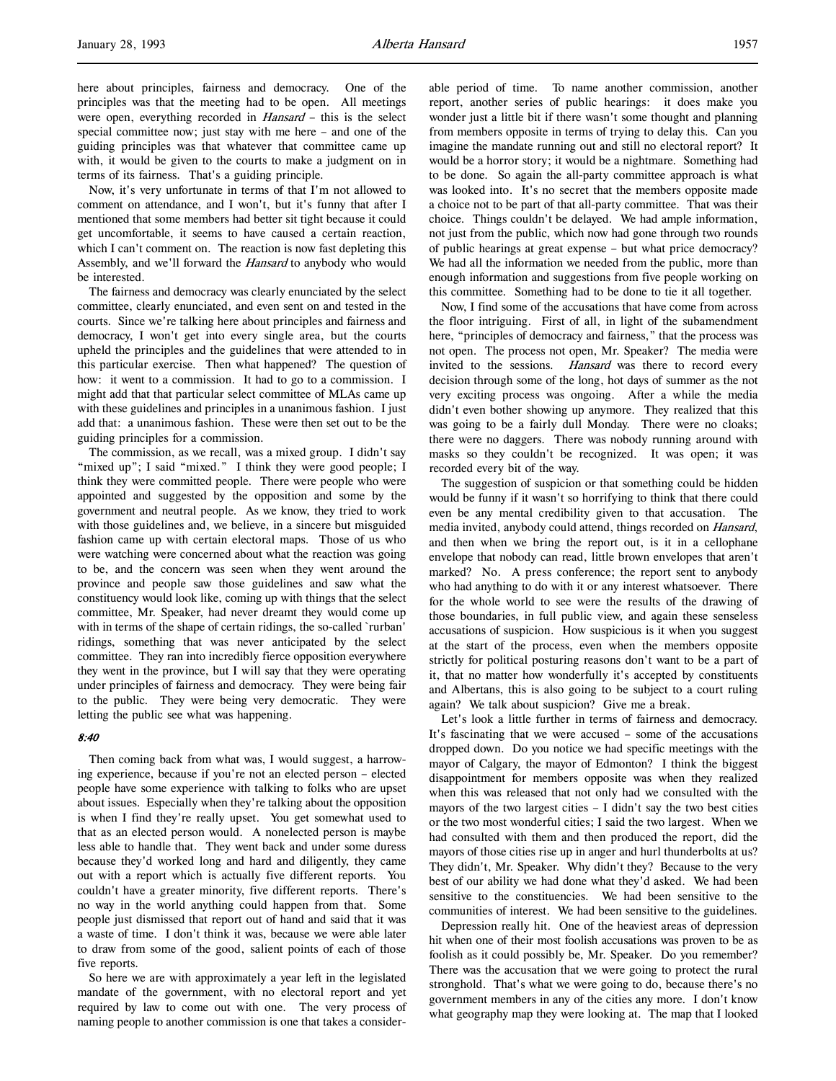here about principles, fairness and democracy. One of the principles was that the meeting had to be open. All meetings were open, everything recorded in *Hansard* – this is the select special committee now; just stay with me here – and one of the guiding principles was that whatever that committee came up with, it would be given to the courts to make a judgment on in terms of its fairness. That's a guiding principle.

Now, it's very unfortunate in terms of that I'm not allowed to comment on attendance, and I won't, but it's funny that after I mentioned that some members had better sit tight because it could get uncomfortable, it seems to have caused a certain reaction, which I can't comment on. The reaction is now fast depleting this Assembly, and we'll forward the Hansard to anybody who would be interested.

The fairness and democracy was clearly enunciated by the select committee, clearly enunciated, and even sent on and tested in the courts. Since we're talking here about principles and fairness and democracy, I won't get into every single area, but the courts upheld the principles and the guidelines that were attended to in this particular exercise. Then what happened? The question of how: it went to a commission. It had to go to a commission. I might add that that particular select committee of MLAs came up with these guidelines and principles in a unanimous fashion. I just add that: a unanimous fashion. These were then set out to be the guiding principles for a commission.

The commission, as we recall, was a mixed group. I didn't say "mixed up"; I said "mixed." I think they were good people; I think they were committed people. There were people who were appointed and suggested by the opposition and some by the government and neutral people. As we know, they tried to work with those guidelines and, we believe, in a sincere but misguided fashion came up with certain electoral maps. Those of us who were watching were concerned about what the reaction was going to be, and the concern was seen when they went around the province and people saw those guidelines and saw what the constituency would look like, coming up with things that the select committee, Mr. Speaker, had never dreamt they would come up with in terms of the shape of certain ridings, the so-called `rurban' ridings, something that was never anticipated by the select committee. They ran into incredibly fierce opposition everywhere they went in the province, but I will say that they were operating under principles of fairness and democracy. They were being fair to the public. They were being very democratic. They were letting the public see what was happening.

### 8:40

Then coming back from what was, I would suggest, a harrowing experience, because if you're not an elected person – elected people have some experience with talking to folks who are upset about issues. Especially when they're talking about the opposition is when I find they're really upset. You get somewhat used to that as an elected person would. A nonelected person is maybe less able to handle that. They went back and under some duress because they'd worked long and hard and diligently, they came out with a report which is actually five different reports. You couldn't have a greater minority, five different reports. There's no way in the world anything could happen from that. Some people just dismissed that report out of hand and said that it was a waste of time. I don't think it was, because we were able later to draw from some of the good, salient points of each of those five reports.

So here we are with approximately a year left in the legislated mandate of the government, with no electoral report and yet required by law to come out with one. The very process of naming people to another commission is one that takes a considerable period of time. To name another commission, another report, another series of public hearings: it does make you wonder just a little bit if there wasn't some thought and planning from members opposite in terms of trying to delay this. Can you imagine the mandate running out and still no electoral report? It would be a horror story; it would be a nightmare. Something had to be done. So again the all-party committee approach is what was looked into. It's no secret that the members opposite made a choice not to be part of that all-party committee. That was their choice. Things couldn't be delayed. We had ample information, not just from the public, which now had gone through two rounds of public hearings at great expense – but what price democracy? We had all the information we needed from the public, more than enough information and suggestions from five people working on this committee. Something had to be done to tie it all together.

Now, I find some of the accusations that have come from across the floor intriguing. First of all, in light of the subamendment here, "principles of democracy and fairness," that the process was not open. The process not open, Mr. Speaker? The media were invited to the sessions. Hansard was there to record every decision through some of the long, hot days of summer as the not very exciting process was ongoing. After a while the media didn't even bother showing up anymore. They realized that this was going to be a fairly dull Monday. There were no cloaks; there were no daggers. There was nobody running around with masks so they couldn't be recognized. It was open; it was recorded every bit of the way.

The suggestion of suspicion or that something could be hidden would be funny if it wasn't so horrifying to think that there could even be any mental credibility given to that accusation. The media invited, anybody could attend, things recorded on Hansard, and then when we bring the report out, is it in a cellophane envelope that nobody can read, little brown envelopes that aren't marked? No. A press conference; the report sent to anybody who had anything to do with it or any interest whatsoever. There for the whole world to see were the results of the drawing of those boundaries, in full public view, and again these senseless accusations of suspicion. How suspicious is it when you suggest at the start of the process, even when the members opposite strictly for political posturing reasons don't want to be a part of it, that no matter how wonderfully it's accepted by constituents and Albertans, this is also going to be subject to a court ruling again? We talk about suspicion? Give me a break.

Let's look a little further in terms of fairness and democracy. It's fascinating that we were accused – some of the accusations dropped down. Do you notice we had specific meetings with the mayor of Calgary, the mayor of Edmonton? I think the biggest disappointment for members opposite was when they realized when this was released that not only had we consulted with the mayors of the two largest cities – I didn't say the two best cities or the two most wonderful cities; I said the two largest. When we had consulted with them and then produced the report, did the mayors of those cities rise up in anger and hurl thunderbolts at us? They didn't, Mr. Speaker. Why didn't they? Because to the very best of our ability we had done what they'd asked. We had been sensitive to the constituencies. We had been sensitive to the communities of interest. We had been sensitive to the guidelines.

Depression really hit. One of the heaviest areas of depression hit when one of their most foolish accusations was proven to be as foolish as it could possibly be, Mr. Speaker. Do you remember? There was the accusation that we were going to protect the rural stronghold. That's what we were going to do, because there's no government members in any of the cities any more. I don't know what geography map they were looking at. The map that I looked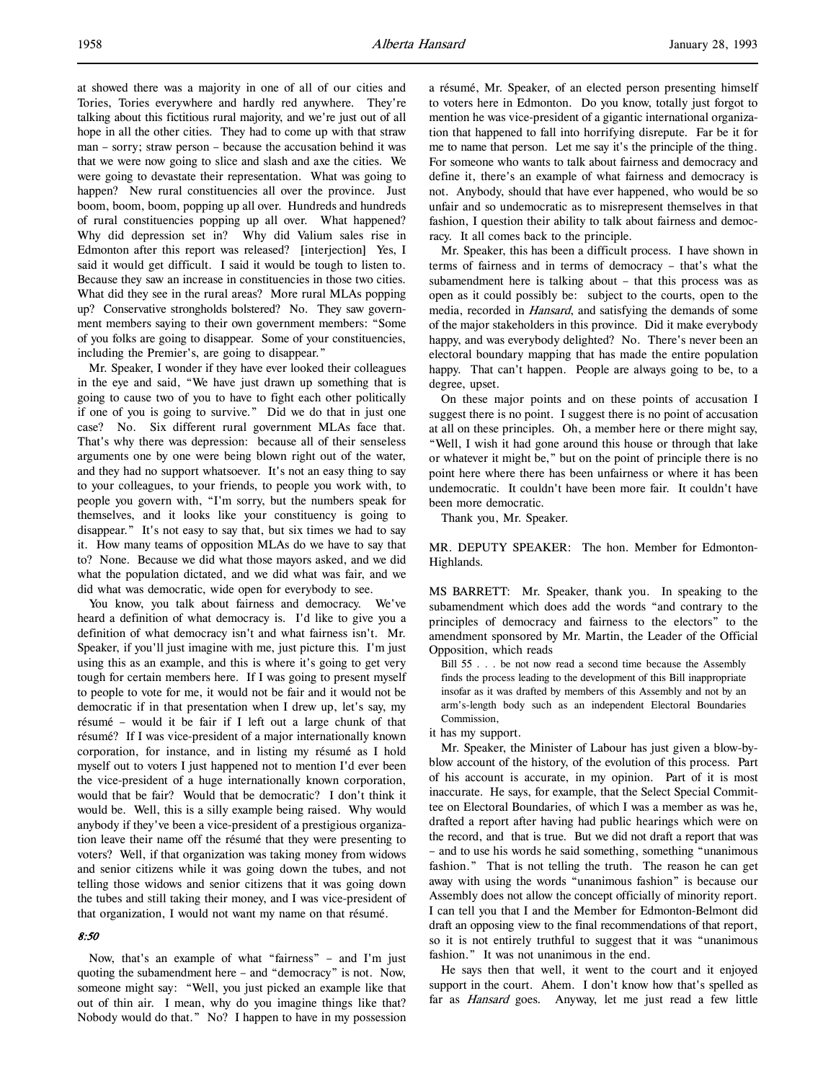at showed there was a majority in one of all of our cities and Tories, Tories everywhere and hardly red anywhere. They're talking about this fictitious rural majority, and we're just out of all hope in all the other cities. They had to come up with that straw man – sorry; straw person – because the accusation behind it was that we were now going to slice and slash and axe the cities. We were going to devastate their representation. What was going to happen? New rural constituencies all over the province. Just boom, boom, boom, popping up all over. Hundreds and hundreds of rural constituencies popping up all over. What happened? Why did depression set in? Why did Valium sales rise in Edmonton after this report was released? [interjection] Yes, I said it would get difficult. I said it would be tough to listen to. Because they saw an increase in constituencies in those two cities. What did they see in the rural areas? More rural MLAs popping up? Conservative strongholds bolstered? No. They saw government members saying to their own government members: "Some of you folks are going to disappear. Some of your constituencies, including the Premier's, are going to disappear."

Mr. Speaker, I wonder if they have ever looked their colleagues in the eye and said, "We have just drawn up something that is going to cause two of you to have to fight each other politically if one of you is going to survive." Did we do that in just one case? No. Six different rural government MLAs face that. That's why there was depression: because all of their senseless arguments one by one were being blown right out of the water, and they had no support whatsoever. It's not an easy thing to say to your colleagues, to your friends, to people you work with, to people you govern with, "I'm sorry, but the numbers speak for themselves, and it looks like your constituency is going to disappear." It's not easy to say that, but six times we had to say it. How many teams of opposition MLAs do we have to say that to? None. Because we did what those mayors asked, and we did what the population dictated, and we did what was fair, and we did what was democratic, wide open for everybody to see.

You know, you talk about fairness and democracy. We've heard a definition of what democracy is. I'd like to give you a definition of what democracy isn't and what fairness isn't. Mr. Speaker, if you'll just imagine with me, just picture this. I'm just using this as an example, and this is where it's going to get very tough for certain members here. If I was going to present myself to people to vote for me, it would not be fair and it would not be democratic if in that presentation when I drew up, let's say, my résumé – would it be fair if I left out a large chunk of that résumé? If I was vice-president of a major internationally known corporation, for instance, and in listing my résumé as I hold myself out to voters I just happened not to mention I'd ever been the vice-president of a huge internationally known corporation, would that be fair? Would that be democratic? I don't think it would be. Well, this is a silly example being raised. Why would anybody if they've been a vice-president of a prestigious organization leave their name off the résumé that they were presenting to voters? Well, if that organization was taking money from widows and senior citizens while it was going down the tubes, and not telling those widows and senior citizens that it was going down the tubes and still taking their money, and I was vice-president of that organization, I would not want my name on that résumé.

# 8:50

Now, that's an example of what "fairness" – and I'm just quoting the subamendment here – and "democracy" is not. Now, someone might say: "Well, you just picked an example like that out of thin air. I mean, why do you imagine things like that? Nobody would do that." No? I happen to have in my possession

a résumé, Mr. Speaker, of an elected person presenting himself to voters here in Edmonton. Do you know, totally just forgot to mention he was vice-president of a gigantic international organization that happened to fall into horrifying disrepute. Far be it for me to name that person. Let me say it's the principle of the thing. For someone who wants to talk about fairness and democracy and define it, there's an example of what fairness and democracy is not. Anybody, should that have ever happened, who would be so unfair and so undemocratic as to misrepresent themselves in that fashion, I question their ability to talk about fairness and democracy. It all comes back to the principle.

Mr. Speaker, this has been a difficult process. I have shown in terms of fairness and in terms of democracy – that's what the subamendment here is talking about – that this process was as open as it could possibly be: subject to the courts, open to the media, recorded in *Hansard*, and satisfying the demands of some of the major stakeholders in this province. Did it make everybody happy, and was everybody delighted? No. There's never been an electoral boundary mapping that has made the entire population happy. That can't happen. People are always going to be, to a degree, upset.

On these major points and on these points of accusation I suggest there is no point. I suggest there is no point of accusation at all on these principles. Oh, a member here or there might say, "Well, I wish it had gone around this house or through that lake or whatever it might be," but on the point of principle there is no point here where there has been unfairness or where it has been undemocratic. It couldn't have been more fair. It couldn't have been more democratic.

Thank you, Mr. Speaker.

MR. DEPUTY SPEAKER: The hon. Member for Edmonton-Highlands.

MS BARRETT: Mr. Speaker, thank you. In speaking to the subamendment which does add the words "and contrary to the principles of democracy and fairness to the electors" to the amendment sponsored by Mr. Martin, the Leader of the Official Opposition, which reads

Bill 55 . . . be not now read a second time because the Assembly finds the process leading to the development of this Bill inappropriate insofar as it was drafted by members of this Assembly and not by an arm's-length body such as an independent Electoral Boundaries Commission,

it has my support.

Mr. Speaker, the Minister of Labour has just given a blow-byblow account of the history, of the evolution of this process. Part of his account is accurate, in my opinion. Part of it is most inaccurate. He says, for example, that the Select Special Committee on Electoral Boundaries, of which I was a member as was he, drafted a report after having had public hearings which were on the record, and that is true. But we did not draft a report that was – and to use his words he said something, something "unanimous fashion." That is not telling the truth. The reason he can get away with using the words "unanimous fashion" is because our Assembly does not allow the concept officially of minority report. I can tell you that I and the Member for Edmonton-Belmont did draft an opposing view to the final recommendations of that report, so it is not entirely truthful to suggest that it was "unanimous fashion." It was not unanimous in the end.

He says then that well, it went to the court and it enjoyed support in the court. Ahem. I don't know how that's spelled as far as *Hansard* goes. Anyway, let me just read a few little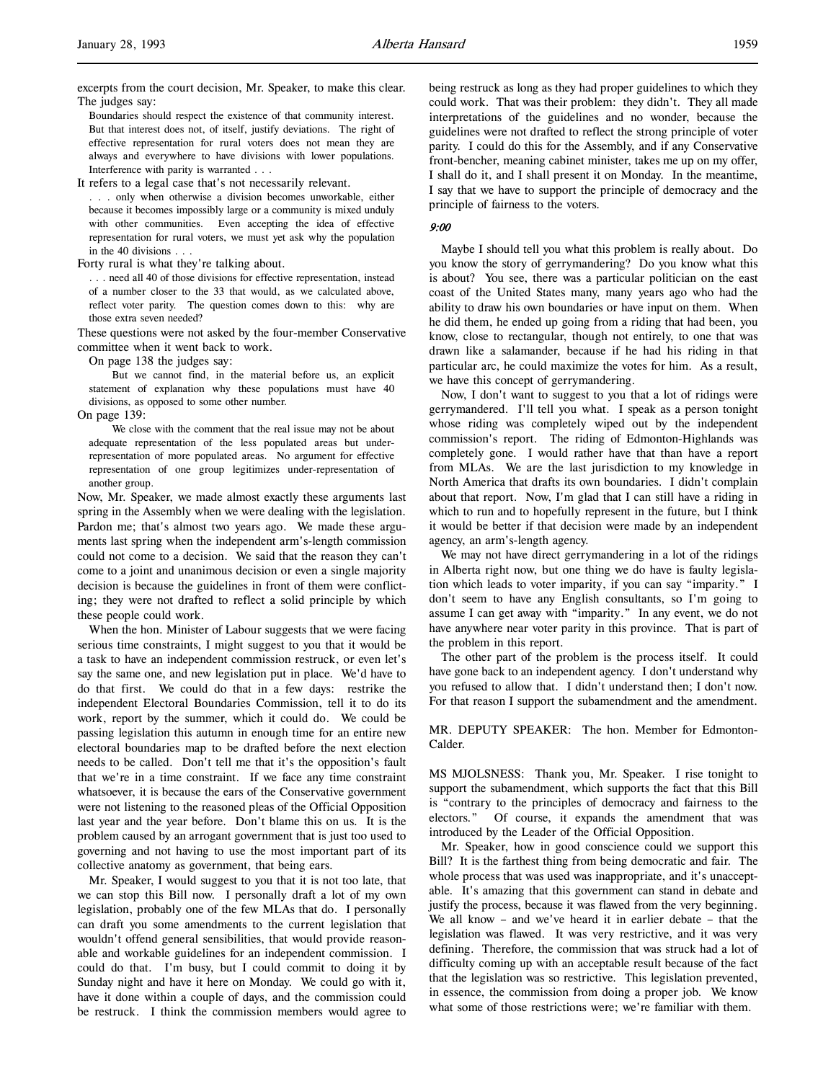excerpts from the court decision, Mr. Speaker, to make this clear. The judges say:

Boundaries should respect the existence of that community interest. But that interest does not, of itself, justify deviations. The right of effective representation for rural voters does not mean they are always and everywhere to have divisions with lower populations. Interference with parity is warranted . . .

It refers to a legal case that's not necessarily relevant.

. . . only when otherwise a division becomes unworkable, either because it becomes impossibly large or a community is mixed unduly with other communities. Even accepting the idea of effective representation for rural voters, we must yet ask why the population in the 40 divisions . . .

Forty rural is what they're talking about.

. . . need all 40 of those divisions for effective representation, instead of a number closer to the 33 that would, as we calculated above, reflect voter parity. The question comes down to this: why are those extra seven needed?

These questions were not asked by the four-member Conservative committee when it went back to work.

On page 138 the judges say:

But we cannot find, in the material before us, an explicit statement of explanation why these populations must have 40 divisions, as opposed to some other number.

On page 139:

We close with the comment that the real issue may not be about adequate representation of the less populated areas but underrepresentation of more populated areas. No argument for effective representation of one group legitimizes under-representation of another group.

Now, Mr. Speaker, we made almost exactly these arguments last spring in the Assembly when we were dealing with the legislation. Pardon me; that's almost two years ago. We made these arguments last spring when the independent arm's-length commission could not come to a decision. We said that the reason they can't come to a joint and unanimous decision or even a single majority decision is because the guidelines in front of them were conflicting; they were not drafted to reflect a solid principle by which these people could work.

When the hon. Minister of Labour suggests that we were facing serious time constraints, I might suggest to you that it would be a task to have an independent commission restruck, or even let's say the same one, and new legislation put in place. We'd have to do that first. We could do that in a few days: restrike the independent Electoral Boundaries Commission, tell it to do its work, report by the summer, which it could do. We could be passing legislation this autumn in enough time for an entire new electoral boundaries map to be drafted before the next election needs to be called. Don't tell me that it's the opposition's fault that we're in a time constraint. If we face any time constraint whatsoever, it is because the ears of the Conservative government were not listening to the reasoned pleas of the Official Opposition last year and the year before. Don't blame this on us. It is the problem caused by an arrogant government that is just too used to governing and not having to use the most important part of its collective anatomy as government, that being ears.

Mr. Speaker, I would suggest to you that it is not too late, that we can stop this Bill now. I personally draft a lot of my own legislation, probably one of the few MLAs that do. I personally can draft you some amendments to the current legislation that wouldn't offend general sensibilities, that would provide reasonable and workable guidelines for an independent commission. I could do that. I'm busy, but I could commit to doing it by Sunday night and have it here on Monday. We could go with it, have it done within a couple of days, and the commission could be restruck. I think the commission members would agree to

being restruck as long as they had proper guidelines to which they could work. That was their problem: they didn't. They all made interpretations of the guidelines and no wonder, because the guidelines were not drafted to reflect the strong principle of voter parity. I could do this for the Assembly, and if any Conservative front-bencher, meaning cabinet minister, takes me up on my offer, I shall do it, and I shall present it on Monday. In the meantime, I say that we have to support the principle of democracy and the principle of fairness to the voters.

#### 9:00

Maybe I should tell you what this problem is really about. Do you know the story of gerrymandering? Do you know what this is about? You see, there was a particular politician on the east coast of the United States many, many years ago who had the ability to draw his own boundaries or have input on them. When he did them, he ended up going from a riding that had been, you know, close to rectangular, though not entirely, to one that was drawn like a salamander, because if he had his riding in that particular arc, he could maximize the votes for him. As a result, we have this concept of gerrymandering.

Now, I don't want to suggest to you that a lot of ridings were gerrymandered. I'll tell you what. I speak as a person tonight whose riding was completely wiped out by the independent commission's report. The riding of Edmonton-Highlands was completely gone. I would rather have that than have a report from MLAs. We are the last jurisdiction to my knowledge in North America that drafts its own boundaries. I didn't complain about that report. Now, I'm glad that I can still have a riding in which to run and to hopefully represent in the future, but I think it would be better if that decision were made by an independent agency, an arm's-length agency.

We may not have direct gerrymandering in a lot of the ridings in Alberta right now, but one thing we do have is faulty legislation which leads to voter imparity, if you can say "imparity." I don't seem to have any English consultants, so I'm going to assume I can get away with "imparity." In any event, we do not have anywhere near voter parity in this province. That is part of the problem in this report.

The other part of the problem is the process itself. It could have gone back to an independent agency. I don't understand why you refused to allow that. I didn't understand then; I don't now. For that reason I support the subamendment and the amendment.

MR. DEPUTY SPEAKER: The hon. Member for Edmonton-Calder.

MS MJOLSNESS: Thank you, Mr. Speaker. I rise tonight to support the subamendment, which supports the fact that this Bill is "contrary to the principles of democracy and fairness to the electors." Of course, it expands the amendment that was introduced by the Leader of the Official Opposition.

Mr. Speaker, how in good conscience could we support this Bill? It is the farthest thing from being democratic and fair. The whole process that was used was inappropriate, and it's unacceptable. It's amazing that this government can stand in debate and justify the process, because it was flawed from the very beginning. We all know – and we've heard it in earlier debate – that the legislation was flawed. It was very restrictive, and it was very defining. Therefore, the commission that was struck had a lot of difficulty coming up with an acceptable result because of the fact that the legislation was so restrictive. This legislation prevented, in essence, the commission from doing a proper job. We know what some of those restrictions were; we're familiar with them.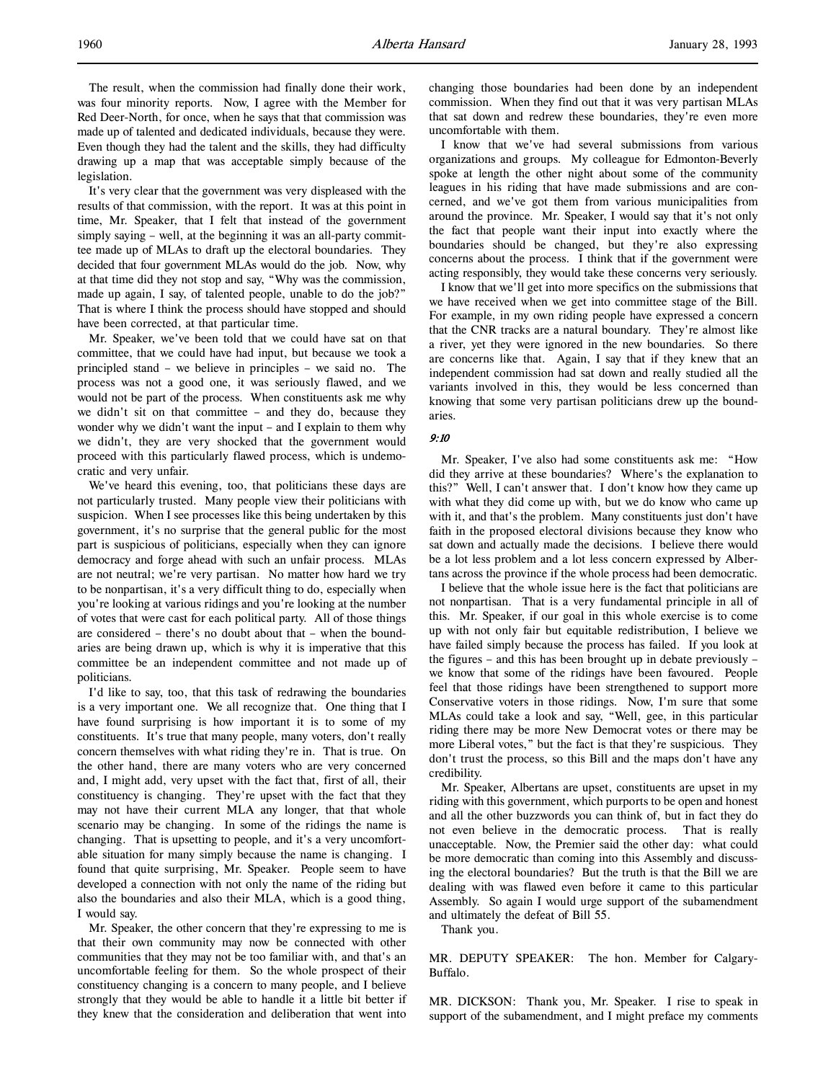The result, when the commission had finally done their work, was four minority reports. Now, I agree with the Member for Red Deer-North, for once, when he says that that commission was made up of talented and dedicated individuals, because they were. Even though they had the talent and the skills, they had difficulty drawing up a map that was acceptable simply because of the legislation.

It's very clear that the government was very displeased with the results of that commission, with the report. It was at this point in time, Mr. Speaker, that I felt that instead of the government simply saying – well, at the beginning it was an all-party committee made up of MLAs to draft up the electoral boundaries. They decided that four government MLAs would do the job. Now, why at that time did they not stop and say, "Why was the commission, made up again, I say, of talented people, unable to do the job?" That is where I think the process should have stopped and should have been corrected, at that particular time.

Mr. Speaker, we've been told that we could have sat on that committee, that we could have had input, but because we took a principled stand – we believe in principles – we said no. The process was not a good one, it was seriously flawed, and we would not be part of the process. When constituents ask me why we didn't sit on that committee – and they do, because they wonder why we didn't want the input – and I explain to them why we didn't, they are very shocked that the government would proceed with this particularly flawed process, which is undemocratic and very unfair.

We've heard this evening, too, that politicians these days are not particularly trusted. Many people view their politicians with suspicion. When I see processes like this being undertaken by this government, it's no surprise that the general public for the most part is suspicious of politicians, especially when they can ignore democracy and forge ahead with such an unfair process. MLAs are not neutral; we're very partisan. No matter how hard we try to be nonpartisan, it's a very difficult thing to do, especially when you're looking at various ridings and you're looking at the number of votes that were cast for each political party. All of those things are considered – there's no doubt about that – when the boundaries are being drawn up, which is why it is imperative that this committee be an independent committee and not made up of politicians.

I'd like to say, too, that this task of redrawing the boundaries is a very important one. We all recognize that. One thing that I have found surprising is how important it is to some of my constituents. It's true that many people, many voters, don't really concern themselves with what riding they're in. That is true. On the other hand, there are many voters who are very concerned and, I might add, very upset with the fact that, first of all, their constituency is changing. They're upset with the fact that they may not have their current MLA any longer, that that whole scenario may be changing. In some of the ridings the name is changing. That is upsetting to people, and it's a very uncomfortable situation for many simply because the name is changing. I found that quite surprising, Mr. Speaker. People seem to have developed a connection with not only the name of the riding but also the boundaries and also their MLA, which is a good thing, I would say.

Mr. Speaker, the other concern that they're expressing to me is that their own community may now be connected with other communities that they may not be too familiar with, and that's an uncomfortable feeling for them. So the whole prospect of their constituency changing is a concern to many people, and I believe strongly that they would be able to handle it a little bit better if they knew that the consideration and deliberation that went into changing those boundaries had been done by an independent commission. When they find out that it was very partisan MLAs that sat down and redrew these boundaries, they're even more uncomfortable with them.

I know that we've had several submissions from various organizations and groups. My colleague for Edmonton-Beverly spoke at length the other night about some of the community leagues in his riding that have made submissions and are concerned, and we've got them from various municipalities from around the province. Mr. Speaker, I would say that it's not only the fact that people want their input into exactly where the boundaries should be changed, but they're also expressing concerns about the process. I think that if the government were acting responsibly, they would take these concerns very seriously.

I know that we'll get into more specifics on the submissions that we have received when we get into committee stage of the Bill. For example, in my own riding people have expressed a concern that the CNR tracks are a natural boundary. They're almost like a river, yet they were ignored in the new boundaries. So there are concerns like that. Again, I say that if they knew that an independent commission had sat down and really studied all the variants involved in this, they would be less concerned than knowing that some very partisan politicians drew up the boundaries.

### 9:10

Mr. Speaker, I've also had some constituents ask me: "How did they arrive at these boundaries? Where's the explanation to this?" Well, I can't answer that. I don't know how they came up with what they did come up with, but we do know who came up with it, and that's the problem. Many constituents just don't have faith in the proposed electoral divisions because they know who sat down and actually made the decisions. I believe there would be a lot less problem and a lot less concern expressed by Albertans across the province if the whole process had been democratic.

I believe that the whole issue here is the fact that politicians are not nonpartisan. That is a very fundamental principle in all of this. Mr. Speaker, if our goal in this whole exercise is to come up with not only fair but equitable redistribution, I believe we have failed simply because the process has failed. If you look at the figures – and this has been brought up in debate previously – we know that some of the ridings have been favoured. People feel that those ridings have been strengthened to support more Conservative voters in those ridings. Now, I'm sure that some MLAs could take a look and say, "Well, gee, in this particular riding there may be more New Democrat votes or there may be more Liberal votes," but the fact is that they're suspicious. They don't trust the process, so this Bill and the maps don't have any credibility.

Mr. Speaker, Albertans are upset, constituents are upset in my riding with this government, which purports to be open and honest and all the other buzzwords you can think of, but in fact they do not even believe in the democratic process. That is really unacceptable. Now, the Premier said the other day: what could be more democratic than coming into this Assembly and discussing the electoral boundaries? But the truth is that the Bill we are dealing with was flawed even before it came to this particular Assembly. So again I would urge support of the subamendment and ultimately the defeat of Bill 55.

Thank you.

MR. DEPUTY SPEAKER: The hon. Member for Calgary-Buffalo.

MR. DICKSON: Thank you, Mr. Speaker. I rise to speak in support of the subamendment, and I might preface my comments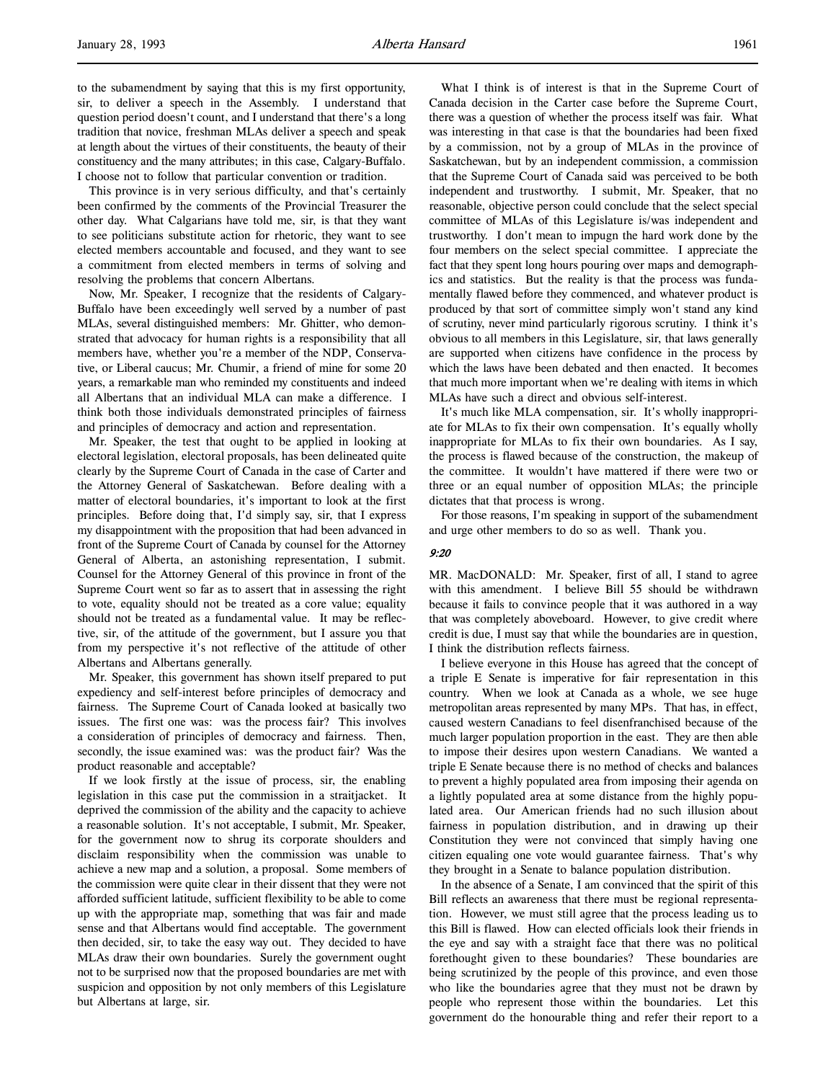to the subamendment by saying that this is my first opportunity, sir, to deliver a speech in the Assembly. I understand that question period doesn't count, and I understand that there's a long tradition that novice, freshman MLAs deliver a speech and speak at length about the virtues of their constituents, the beauty of their constituency and the many attributes; in this case, Calgary-Buffalo. I choose not to follow that particular convention or tradition.

This province is in very serious difficulty, and that's certainly been confirmed by the comments of the Provincial Treasurer the other day. What Calgarians have told me, sir, is that they want to see politicians substitute action for rhetoric, they want to see elected members accountable and focused, and they want to see a commitment from elected members in terms of solving and resolving the problems that concern Albertans.

Now, Mr. Speaker, I recognize that the residents of Calgary-Buffalo have been exceedingly well served by a number of past MLAs, several distinguished members: Mr. Ghitter, who demonstrated that advocacy for human rights is a responsibility that all members have, whether you're a member of the NDP, Conservative, or Liberal caucus; Mr. Chumir, a friend of mine for some 20 years, a remarkable man who reminded my constituents and indeed all Albertans that an individual MLA can make a difference. I think both those individuals demonstrated principles of fairness and principles of democracy and action and representation.

Mr. Speaker, the test that ought to be applied in looking at electoral legislation, electoral proposals, has been delineated quite clearly by the Supreme Court of Canada in the case of Carter and the Attorney General of Saskatchewan. Before dealing with a matter of electoral boundaries, it's important to look at the first principles. Before doing that, I'd simply say, sir, that I express my disappointment with the proposition that had been advanced in front of the Supreme Court of Canada by counsel for the Attorney General of Alberta, an astonishing representation, I submit. Counsel for the Attorney General of this province in front of the Supreme Court went so far as to assert that in assessing the right to vote, equality should not be treated as a core value; equality should not be treated as a fundamental value. It may be reflective, sir, of the attitude of the government, but I assure you that from my perspective it's not reflective of the attitude of other Albertans and Albertans generally.

Mr. Speaker, this government has shown itself prepared to put expediency and self-interest before principles of democracy and fairness. The Supreme Court of Canada looked at basically two issues. The first one was: was the process fair? This involves a consideration of principles of democracy and fairness. Then, secondly, the issue examined was: was the product fair? Was the product reasonable and acceptable?

If we look firstly at the issue of process, sir, the enabling legislation in this case put the commission in a straitjacket. It deprived the commission of the ability and the capacity to achieve a reasonable solution. It's not acceptable, I submit, Mr. Speaker, for the government now to shrug its corporate shoulders and disclaim responsibility when the commission was unable to achieve a new map and a solution, a proposal. Some members of the commission were quite clear in their dissent that they were not afforded sufficient latitude, sufficient flexibility to be able to come up with the appropriate map, something that was fair and made sense and that Albertans would find acceptable. The government then decided, sir, to take the easy way out. They decided to have MLAs draw their own boundaries. Surely the government ought not to be surprised now that the proposed boundaries are met with suspicion and opposition by not only members of this Legislature but Albertans at large, sir.

What I think is of interest is that in the Supreme Court of Canada decision in the Carter case before the Supreme Court, there was a question of whether the process itself was fair. What was interesting in that case is that the boundaries had been fixed by a commission, not by a group of MLAs in the province of Saskatchewan, but by an independent commission, a commission that the Supreme Court of Canada said was perceived to be both independent and trustworthy. I submit, Mr. Speaker, that no reasonable, objective person could conclude that the select special committee of MLAs of this Legislature is/was independent and trustworthy. I don't mean to impugn the hard work done by the four members on the select special committee. I appreciate the fact that they spent long hours pouring over maps and demographics and statistics. But the reality is that the process was fundamentally flawed before they commenced, and whatever product is produced by that sort of committee simply won't stand any kind of scrutiny, never mind particularly rigorous scrutiny. I think it's obvious to all members in this Legislature, sir, that laws generally are supported when citizens have confidence in the process by which the laws have been debated and then enacted. It becomes that much more important when we're dealing with items in which MLAs have such a direct and obvious self-interest.

It's much like MLA compensation, sir. It's wholly inappropriate for MLAs to fix their own compensation. It's equally wholly inappropriate for MLAs to fix their own boundaries. As I say, the process is flawed because of the construction, the makeup of the committee. It wouldn't have mattered if there were two or three or an equal number of opposition MLAs; the principle dictates that that process is wrong.

For those reasons, I'm speaking in support of the subamendment and urge other members to do so as well. Thank you.

### 9:20

MR. MacDONALD: Mr. Speaker, first of all, I stand to agree with this amendment. I believe Bill 55 should be withdrawn because it fails to convince people that it was authored in a way that was completely aboveboard. However, to give credit where credit is due, I must say that while the boundaries are in question, I think the distribution reflects fairness.

I believe everyone in this House has agreed that the concept of a triple E Senate is imperative for fair representation in this country. When we look at Canada as a whole, we see huge metropolitan areas represented by many MPs. That has, in effect, caused western Canadians to feel disenfranchised because of the much larger population proportion in the east. They are then able to impose their desires upon western Canadians. We wanted a triple E Senate because there is no method of checks and balances to prevent a highly populated area from imposing their agenda on a lightly populated area at some distance from the highly populated area. Our American friends had no such illusion about fairness in population distribution, and in drawing up their Constitution they were not convinced that simply having one citizen equaling one vote would guarantee fairness. That's why they brought in a Senate to balance population distribution.

In the absence of a Senate, I am convinced that the spirit of this Bill reflects an awareness that there must be regional representation. However, we must still agree that the process leading us to this Bill is flawed. How can elected officials look their friends in the eye and say with a straight face that there was no political forethought given to these boundaries? These boundaries are being scrutinized by the people of this province, and even those who like the boundaries agree that they must not be drawn by people who represent those within the boundaries. Let this government do the honourable thing and refer their report to a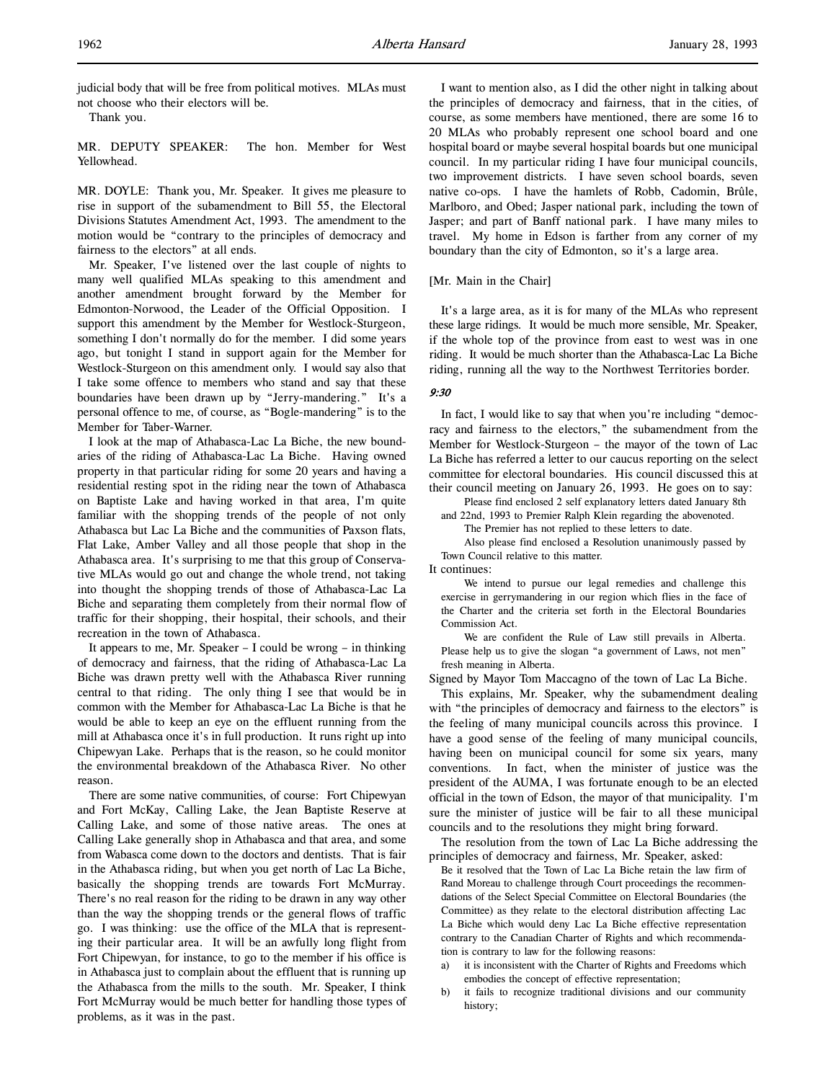judicial body that will be free from political motives. MLAs must not choose who their electors will be.

Thank you.

MR. DEPUTY SPEAKER: The hon. Member for West Yellowhead.

MR. DOYLE: Thank you, Mr. Speaker. It gives me pleasure to rise in support of the subamendment to Bill 55, the Electoral Divisions Statutes Amendment Act, 1993. The amendment to the motion would be "contrary to the principles of democracy and fairness to the electors" at all ends.

Mr. Speaker, I've listened over the last couple of nights to many well qualified MLAs speaking to this amendment and another amendment brought forward by the Member for Edmonton-Norwood, the Leader of the Official Opposition. I support this amendment by the Member for Westlock-Sturgeon, something I don't normally do for the member. I did some years ago, but tonight I stand in support again for the Member for Westlock-Sturgeon on this amendment only. I would say also that I take some offence to members who stand and say that these boundaries have been drawn up by "Jerry-mandering." It's a personal offence to me, of course, as "Bogle-mandering" is to the Member for Taber-Warner.

I look at the map of Athabasca-Lac La Biche, the new boundaries of the riding of Athabasca-Lac La Biche. Having owned property in that particular riding for some 20 years and having a residential resting spot in the riding near the town of Athabasca on Baptiste Lake and having worked in that area, I'm quite familiar with the shopping trends of the people of not only Athabasca but Lac La Biche and the communities of Paxson flats, Flat Lake, Amber Valley and all those people that shop in the Athabasca area. It's surprising to me that this group of Conservative MLAs would go out and change the whole trend, not taking into thought the shopping trends of those of Athabasca-Lac La Biche and separating them completely from their normal flow of traffic for their shopping, their hospital, their schools, and their recreation in the town of Athabasca.

It appears to me, Mr. Speaker – I could be wrong – in thinking of democracy and fairness, that the riding of Athabasca-Lac La Biche was drawn pretty well with the Athabasca River running central to that riding. The only thing I see that would be in common with the Member for Athabasca-Lac La Biche is that he would be able to keep an eye on the effluent running from the mill at Athabasca once it's in full production. It runs right up into Chipewyan Lake. Perhaps that is the reason, so he could monitor the environmental breakdown of the Athabasca River. No other reason.

There are some native communities, of course: Fort Chipewyan and Fort McKay, Calling Lake, the Jean Baptiste Reserve at Calling Lake, and some of those native areas. The ones at Calling Lake generally shop in Athabasca and that area, and some from Wabasca come down to the doctors and dentists. That is fair in the Athabasca riding, but when you get north of Lac La Biche, basically the shopping trends are towards Fort McMurray. There's no real reason for the riding to be drawn in any way other than the way the shopping trends or the general flows of traffic go. I was thinking: use the office of the MLA that is representing their particular area. It will be an awfully long flight from Fort Chipewyan, for instance, to go to the member if his office is in Athabasca just to complain about the effluent that is running up the Athabasca from the mills to the south. Mr. Speaker, I think Fort McMurray would be much better for handling those types of problems, as it was in the past.

I want to mention also, as I did the other night in talking about the principles of democracy and fairness, that in the cities, of course, as some members have mentioned, there are some 16 to 20 MLAs who probably represent one school board and one hospital board or maybe several hospital boards but one municipal council. In my particular riding I have four municipal councils, two improvement districts. I have seven school boards, seven native co-ops. I have the hamlets of Robb, Cadomin, Brûle, Marlboro, and Obed; Jasper national park, including the town of Jasper; and part of Banff national park. I have many miles to travel. My home in Edson is farther from any corner of my boundary than the city of Edmonton, so it's a large area.

[Mr. Main in the Chair]

It's a large area, as it is for many of the MLAs who represent these large ridings. It would be much more sensible, Mr. Speaker, if the whole top of the province from east to west was in one riding. It would be much shorter than the Athabasca-Lac La Biche riding, running all the way to the Northwest Territories border.

### 9:30

In fact, I would like to say that when you're including "democracy and fairness to the electors," the subamendment from the Member for Westlock-Sturgeon – the mayor of the town of Lac La Biche has referred a letter to our caucus reporting on the select committee for electoral boundaries. His council discussed this at their council meeting on January 26, 1993. He goes on to say:

Please find enclosed 2 self explanatory letters dated January 8th and 22nd, 1993 to Premier Ralph Klein regarding the abovenoted.

The Premier has not replied to these letters to date.

Also please find enclosed a Resolution unanimously passed by Town Council relative to this matter.

It continues:

We intend to pursue our legal remedies and challenge this exercise in gerrymandering in our region which flies in the face of the Charter and the criteria set forth in the Electoral Boundaries Commission Act.

We are confident the Rule of Law still prevails in Alberta. Please help us to give the slogan "a government of Laws, not men" fresh meaning in Alberta.

Signed by Mayor Tom Maccagno of the town of Lac La Biche.

This explains, Mr. Speaker, why the subamendment dealing with "the principles of democracy and fairness to the electors" is the feeling of many municipal councils across this province. I have a good sense of the feeling of many municipal councils, having been on municipal council for some six years, many conventions. In fact, when the minister of justice was the president of the AUMA, I was fortunate enough to be an elected official in the town of Edson, the mayor of that municipality. I'm sure the minister of justice will be fair to all these municipal councils and to the resolutions they might bring forward.

The resolution from the town of Lac La Biche addressing the principles of democracy and fairness, Mr. Speaker, asked:

Be it resolved that the Town of Lac La Biche retain the law firm of Rand Moreau to challenge through Court proceedings the recommendations of the Select Special Committee on Electoral Boundaries (the Committee) as they relate to the electoral distribution affecting Lac La Biche which would deny Lac La Biche effective representation contrary to the Canadian Charter of Rights and which recommendation is contrary to law for the following reasons:

- a) it is inconsistent with the Charter of Rights and Freedoms which embodies the concept of effective representation;
- b) it fails to recognize traditional divisions and our community history;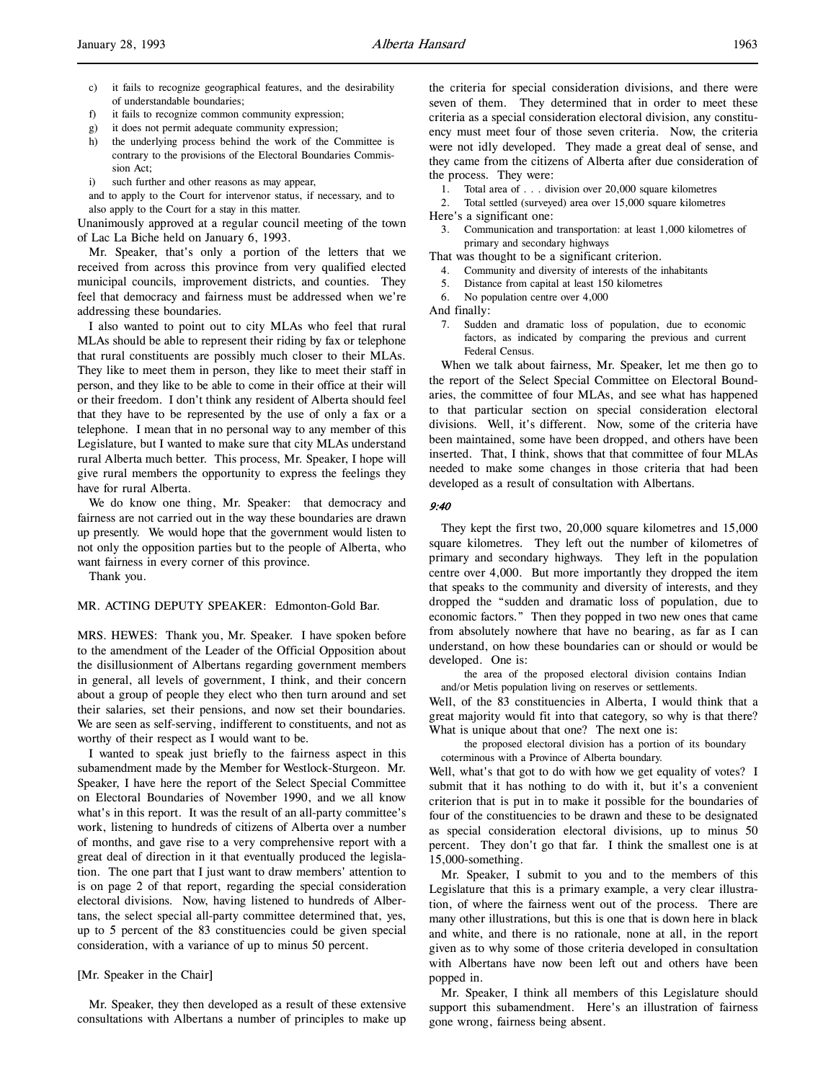- c) it fails to recognize geographical features, and the desirability of understandable boundaries;
- f) it fails to recognize common community expression;
- g) it does not permit adequate community expression;
- h) the underlying process behind the work of the Committee is contrary to the provisions of the Electoral Boundaries Commission Act;
- i) such further and other reasons as may appear,

and to apply to the Court for intervenor status, if necessary, and to also apply to the Court for a stay in this matter.

Unanimously approved at a regular council meeting of the town of Lac La Biche held on January 6, 1993.

Mr. Speaker, that's only a portion of the letters that we received from across this province from very qualified elected municipal councils, improvement districts, and counties. They feel that democracy and fairness must be addressed when we're addressing these boundaries.

I also wanted to point out to city MLAs who feel that rural MLAs should be able to represent their riding by fax or telephone that rural constituents are possibly much closer to their MLAs. They like to meet them in person, they like to meet their staff in person, and they like to be able to come in their office at their will or their freedom. I don't think any resident of Alberta should feel that they have to be represented by the use of only a fax or a telephone. I mean that in no personal way to any member of this Legislature, but I wanted to make sure that city MLAs understand rural Alberta much better. This process, Mr. Speaker, I hope will give rural members the opportunity to express the feelings they have for rural Alberta.

We do know one thing, Mr. Speaker: that democracy and fairness are not carried out in the way these boundaries are drawn up presently. We would hope that the government would listen to not only the opposition parties but to the people of Alberta, who want fairness in every corner of this province.

Thank you.

# MR. ACTING DEPUTY SPEAKER: Edmonton-Gold Bar.

MRS. HEWES: Thank you, Mr. Speaker. I have spoken before to the amendment of the Leader of the Official Opposition about the disillusionment of Albertans regarding government members in general, all levels of government, I think, and their concern about a group of people they elect who then turn around and set their salaries, set their pensions, and now set their boundaries. We are seen as self-serving, indifferent to constituents, and not as worthy of their respect as I would want to be.

I wanted to speak just briefly to the fairness aspect in this subamendment made by the Member for Westlock-Sturgeon. Mr. Speaker, I have here the report of the Select Special Committee on Electoral Boundaries of November 1990, and we all know what's in this report. It was the result of an all-party committee's work, listening to hundreds of citizens of Alberta over a number of months, and gave rise to a very comprehensive report with a great deal of direction in it that eventually produced the legislation. The one part that I just want to draw members' attention to is on page 2 of that report, regarding the special consideration electoral divisions. Now, having listened to hundreds of Albertans, the select special all-party committee determined that, yes, up to 5 percent of the 83 constituencies could be given special consideration, with a variance of up to minus 50 percent.

# [Mr. Speaker in the Chair]

Mr. Speaker, they then developed as a result of these extensive consultations with Albertans a number of principles to make up the criteria for special consideration divisions, and there were seven of them. They determined that in order to meet these criteria as a special consideration electoral division, any constituency must meet four of those seven criteria. Now, the criteria were not idly developed. They made a great deal of sense, and they came from the citizens of Alberta after due consideration of the process. They were:

1. Total area of . . . division over 20,000 square kilometres

2. Total settled (surveyed) area over 15,000 square kilometres Here's a significant one:

3. Communication and transportation: at least 1,000 kilometres of primary and secondary highways

That was thought to be a significant criterion.

- 4. Community and diversity of interests of the inhabitants
- 5. Distance from capital at least 150 kilometres
- 6. No population centre over 4,000

And finally:

7. Sudden and dramatic loss of population, due to economic factors, as indicated by comparing the previous and current Federal Census.

When we talk about fairness, Mr. Speaker, let me then go to the report of the Select Special Committee on Electoral Boundaries, the committee of four MLAs, and see what has happened to that particular section on special consideration electoral divisions. Well, it's different. Now, some of the criteria have been maintained, some have been dropped, and others have been inserted. That, I think, shows that that committee of four MLAs needed to make some changes in those criteria that had been developed as a result of consultation with Albertans.

#### 9:40

They kept the first two, 20,000 square kilometres and 15,000 square kilometres. They left out the number of kilometres of primary and secondary highways. They left in the population centre over 4,000. But more importantly they dropped the item that speaks to the community and diversity of interests, and they dropped the "sudden and dramatic loss of population, due to economic factors." Then they popped in two new ones that came from absolutely nowhere that have no bearing, as far as I can understand, on how these boundaries can or should or would be developed. One is:

the area of the proposed electoral division contains Indian and/or Metis population living on reserves or settlements.

Well, of the 83 constituencies in Alberta, I would think that a great majority would fit into that category, so why is that there? What is unique about that one? The next one is:

the proposed electoral division has a portion of its boundary coterminous with a Province of Alberta boundary.

Well, what's that got to do with how we get equality of votes? I submit that it has nothing to do with it, but it's a convenient criterion that is put in to make it possible for the boundaries of four of the constituencies to be drawn and these to be designated as special consideration electoral divisions, up to minus 50 percent. They don't go that far. I think the smallest one is at 15,000-something.

Mr. Speaker, I submit to you and to the members of this Legislature that this is a primary example, a very clear illustration, of where the fairness went out of the process. There are many other illustrations, but this is one that is down here in black and white, and there is no rationale, none at all, in the report given as to why some of those criteria developed in consultation with Albertans have now been left out and others have been popped in.

Mr. Speaker, I think all members of this Legislature should support this subamendment. Here's an illustration of fairness gone wrong, fairness being absent.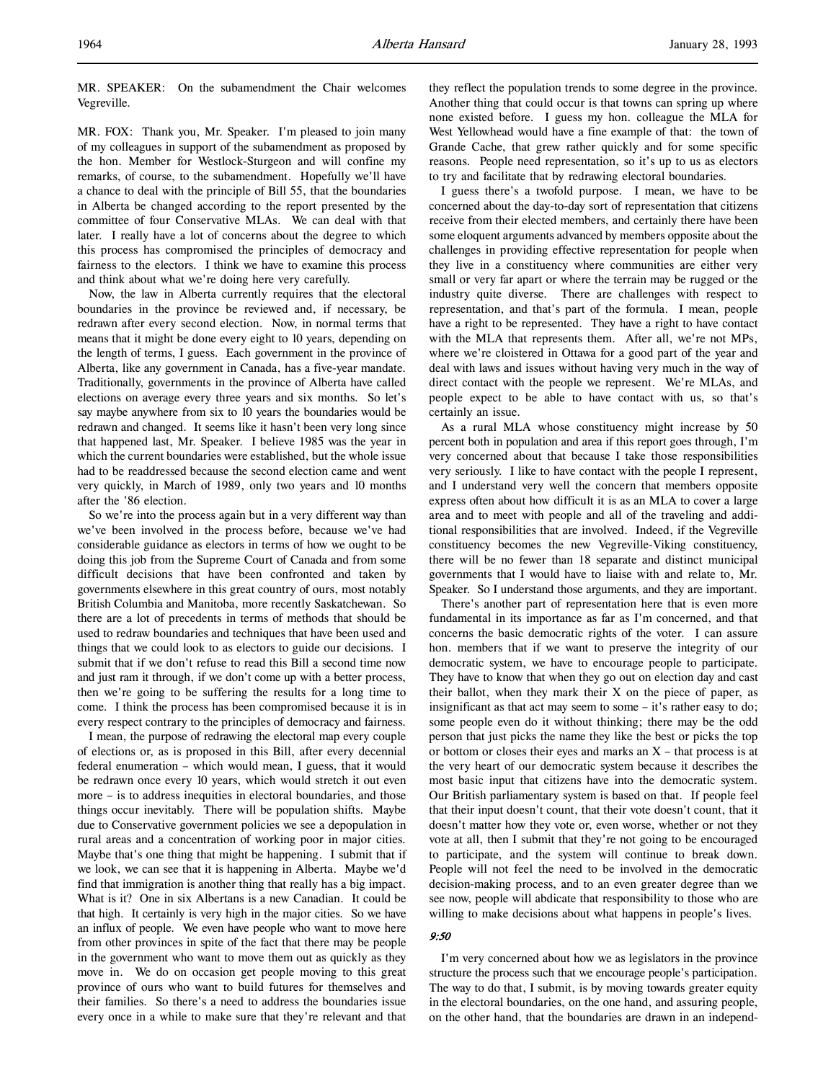MR. SPEAKER: On the subamendment the Chair welcomes Vegreville.

MR. FOX: Thank you, Mr. Speaker. I'm pleased to join many of my colleagues in support of the subamendment as proposed by the hon. Member for Westlock-Sturgeon and will confine my remarks, of course, to the subamendment. Hopefully we'll have a chance to deal with the principle of Bill 55, that the boundaries in Alberta be changed according to the report presented by the committee of four Conservative MLAs. We can deal with that later. I really have a lot of concerns about the degree to which this process has compromised the principles of democracy and fairness to the electors. I think we have to examine this process and think about what we're doing here very carefully.

Now, the law in Alberta currently requires that the electoral boundaries in the province be reviewed and, if necessary, be redrawn after every second election. Now, in normal terms that means that it might be done every eight to 10 years, depending on the length of terms, I guess. Each government in the province of Alberta, like any government in Canada, has a five-year mandate. Traditionally, governments in the province of Alberta have called elections on average every three years and six months. So let's say maybe anywhere from six to 10 years the boundaries would be redrawn and changed. It seems like it hasn't been very long since that happened last, Mr. Speaker. I believe 1985 was the year in which the current boundaries were established, but the whole issue had to be readdressed because the second election came and went very quickly, in March of 1989, only two years and 10 months after the '86 election.

So we're into the process again but in a very different way than we've been involved in the process before, because we've had considerable guidance as electors in terms of how we ought to be doing this job from the Supreme Court of Canada and from some difficult decisions that have been confronted and taken by governments elsewhere in this great country of ours, most notably British Columbia and Manitoba, more recently Saskatchewan. So there are a lot of precedents in terms of methods that should be used to redraw boundaries and techniques that have been used and things that we could look to as electors to guide our decisions. I submit that if we don't refuse to read this Bill a second time now and just ram it through, if we don't come up with a better process, then we're going to be suffering the results for a long time to come. I think the process has been compromised because it is in every respect contrary to the principles of democracy and fairness.

I mean, the purpose of redrawing the electoral map every couple of elections or, as is proposed in this Bill, after every decennial federal enumeration – which would mean, I guess, that it would be redrawn once every 10 years, which would stretch it out even more – is to address inequities in electoral boundaries, and those things occur inevitably. There will be population shifts. Maybe due to Conservative government policies we see a depopulation in rural areas and a concentration of working poor in major cities. Maybe that's one thing that might be happening. I submit that if we look, we can see that it is happening in Alberta. Maybe we'd find that immigration is another thing that really has a big impact. What is it? One in six Albertans is a new Canadian. It could be that high. It certainly is very high in the major cities. So we have an influx of people. We even have people who want to move here from other provinces in spite of the fact that there may be people in the government who want to move them out as quickly as they move in. We do on occasion get people moving to this great province of ours who want to build futures for themselves and their families. So there's a need to address the boundaries issue every once in a while to make sure that they're relevant and that

they reflect the population trends to some degree in the province. Another thing that could occur is that towns can spring up where none existed before. I guess my hon. colleague the MLA for West Yellowhead would have a fine example of that: the town of Grande Cache, that grew rather quickly and for some specific reasons. People need representation, so it's up to us as electors to try and facilitate that by redrawing electoral boundaries.

I guess there's a twofold purpose. I mean, we have to be concerned about the day-to-day sort of representation that citizens receive from their elected members, and certainly there have been some eloquent arguments advanced by members opposite about the challenges in providing effective representation for people when they live in a constituency where communities are either very small or very far apart or where the terrain may be rugged or the industry quite diverse. There are challenges with respect to representation, and that's part of the formula. I mean, people have a right to be represented. They have a right to have contact with the MLA that represents them. After all, we're not MPs, where we're cloistered in Ottawa for a good part of the year and deal with laws and issues without having very much in the way of direct contact with the people we represent. We're MLAs, and people expect to be able to have contact with us, so that's certainly an issue.

As a rural MLA whose constituency might increase by 50 percent both in population and area if this report goes through, I'm very concerned about that because I take those responsibilities very seriously. I like to have contact with the people I represent, and I understand very well the concern that members opposite express often about how difficult it is as an MLA to cover a large area and to meet with people and all of the traveling and additional responsibilities that are involved. Indeed, if the Vegreville constituency becomes the new Vegreville-Viking constituency, there will be no fewer than 18 separate and distinct municipal governments that I would have to liaise with and relate to, Mr. Speaker. So I understand those arguments, and they are important.

There's another part of representation here that is even more fundamental in its importance as far as I'm concerned, and that concerns the basic democratic rights of the voter. I can assure hon. members that if we want to preserve the integrity of our democratic system, we have to encourage people to participate. They have to know that when they go out on election day and cast their ballot, when they mark their X on the piece of paper, as insignificant as that act may seem to some – it's rather easy to do; some people even do it without thinking; there may be the odd person that just picks the name they like the best or picks the top or bottom or closes their eyes and marks an  $X$  – that process is at the very heart of our democratic system because it describes the most basic input that citizens have into the democratic system. Our British parliamentary system is based on that. If people feel that their input doesn't count, that their vote doesn't count, that it doesn't matter how they vote or, even worse, whether or not they vote at all, then I submit that they're not going to be encouraged to participate, and the system will continue to break down. People will not feel the need to be involved in the democratic decision-making process, and to an even greater degree than we see now, people will abdicate that responsibility to those who are willing to make decisions about what happens in people's lives.

# 9:50

I'm very concerned about how we as legislators in the province structure the process such that we encourage people's participation. The way to do that, I submit, is by moving towards greater equity in the electoral boundaries, on the one hand, and assuring people, on the other hand, that the boundaries are drawn in an independ-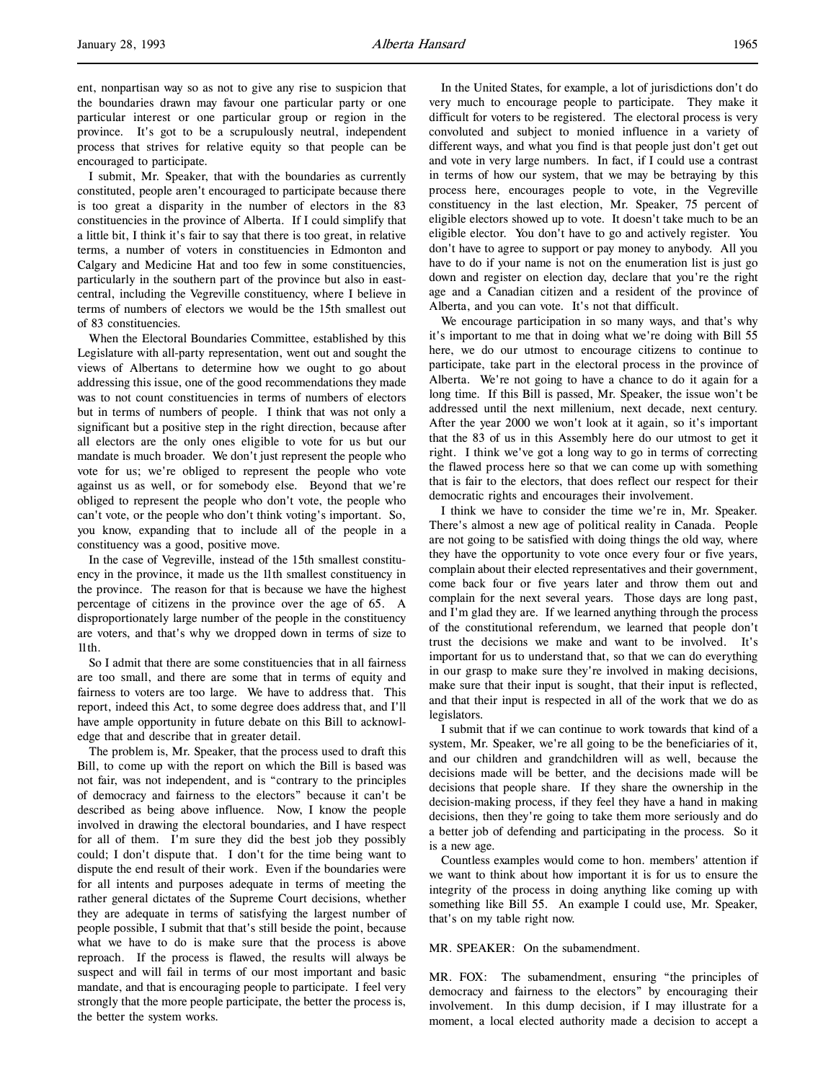ent, nonpartisan way so as not to give any rise to suspicion that the boundaries drawn may favour one particular party or one particular interest or one particular group or region in the province. It's got to be a scrupulously neutral, independent process that strives for relative equity so that people can be encouraged to participate.

I submit, Mr. Speaker, that with the boundaries as currently constituted, people aren't encouraged to participate because there is too great a disparity in the number of electors in the 83 constituencies in the province of Alberta. If I could simplify that a little bit, I think it's fair to say that there is too great, in relative terms, a number of voters in constituencies in Edmonton and Calgary and Medicine Hat and too few in some constituencies, particularly in the southern part of the province but also in eastcentral, including the Vegreville constituency, where I believe in terms of numbers of electors we would be the 15th smallest out of 83 constituencies.

When the Electoral Boundaries Committee, established by this Legislature with all-party representation, went out and sought the views of Albertans to determine how we ought to go about addressing this issue, one of the good recommendations they made was to not count constituencies in terms of numbers of electors but in terms of numbers of people. I think that was not only a significant but a positive step in the right direction, because after all electors are the only ones eligible to vote for us but our mandate is much broader. We don't just represent the people who vote for us; we're obliged to represent the people who vote against us as well, or for somebody else. Beyond that we're obliged to represent the people who don't vote, the people who can't vote, or the people who don't think voting's important. So, you know, expanding that to include all of the people in a constituency was a good, positive move.

In the case of Vegreville, instead of the 15th smallest constituency in the province, it made us the 11th smallest constituency in the province. The reason for that is because we have the highest percentage of citizens in the province over the age of 65. A disproportionately large number of the people in the constituency are voters, and that's why we dropped down in terms of size to 11th.

So I admit that there are some constituencies that in all fairness are too small, and there are some that in terms of equity and fairness to voters are too large. We have to address that. This report, indeed this Act, to some degree does address that, and I'll have ample opportunity in future debate on this Bill to acknowledge that and describe that in greater detail.

The problem is, Mr. Speaker, that the process used to draft this Bill, to come up with the report on which the Bill is based was not fair, was not independent, and is "contrary to the principles of democracy and fairness to the electors" because it can't be described as being above influence. Now, I know the people involved in drawing the electoral boundaries, and I have respect for all of them. I'm sure they did the best job they possibly could; I don't dispute that. I don't for the time being want to dispute the end result of their work. Even if the boundaries were for all intents and purposes adequate in terms of meeting the rather general dictates of the Supreme Court decisions, whether they are adequate in terms of satisfying the largest number of people possible, I submit that that's still beside the point, because what we have to do is make sure that the process is above reproach. If the process is flawed, the results will always be suspect and will fail in terms of our most important and basic mandate, and that is encouraging people to participate. I feel very strongly that the more people participate, the better the process is, the better the system works.

In the United States, for example, a lot of jurisdictions don't do very much to encourage people to participate. They make it difficult for voters to be registered. The electoral process is very convoluted and subject to monied influence in a variety of different ways, and what you find is that people just don't get out and vote in very large numbers. In fact, if I could use a contrast in terms of how our system, that we may be betraying by this process here, encourages people to vote, in the Vegreville constituency in the last election, Mr. Speaker, 75 percent of eligible electors showed up to vote. It doesn't take much to be an eligible elector. You don't have to go and actively register. You don't have to agree to support or pay money to anybody. All you have to do if your name is not on the enumeration list is just go down and register on election day, declare that you're the right age and a Canadian citizen and a resident of the province of Alberta, and you can vote. It's not that difficult.

We encourage participation in so many ways, and that's why it's important to me that in doing what we're doing with Bill 55 here, we do our utmost to encourage citizens to continue to participate, take part in the electoral process in the province of Alberta. We're not going to have a chance to do it again for a long time. If this Bill is passed, Mr. Speaker, the issue won't be addressed until the next millenium, next decade, next century. After the year 2000 we won't look at it again, so it's important that the 83 of us in this Assembly here do our utmost to get it right. I think we've got a long way to go in terms of correcting the flawed process here so that we can come up with something that is fair to the electors, that does reflect our respect for their democratic rights and encourages their involvement.

I think we have to consider the time we're in, Mr. Speaker. There's almost a new age of political reality in Canada. People are not going to be satisfied with doing things the old way, where they have the opportunity to vote once every four or five years, complain about their elected representatives and their government, come back four or five years later and throw them out and complain for the next several years. Those days are long past, and I'm glad they are. If we learned anything through the process of the constitutional referendum, we learned that people don't trust the decisions we make and want to be involved. It's important for us to understand that, so that we can do everything in our grasp to make sure they're involved in making decisions, make sure that their input is sought, that their input is reflected, and that their input is respected in all of the work that we do as legislators.

I submit that if we can continue to work towards that kind of a system, Mr. Speaker, we're all going to be the beneficiaries of it, and our children and grandchildren will as well, because the decisions made will be better, and the decisions made will be decisions that people share. If they share the ownership in the decision-making process, if they feel they have a hand in making decisions, then they're going to take them more seriously and do a better job of defending and participating in the process. So it is a new age.

Countless examples would come to hon. members' attention if we want to think about how important it is for us to ensure the integrity of the process in doing anything like coming up with something like Bill 55. An example I could use, Mr. Speaker, that's on my table right now.

### MR. SPEAKER: On the subamendment.

MR. FOX: The subamendment, ensuring "the principles of democracy and fairness to the electors" by encouraging their involvement. In this dump decision, if I may illustrate for a moment, a local elected authority made a decision to accept a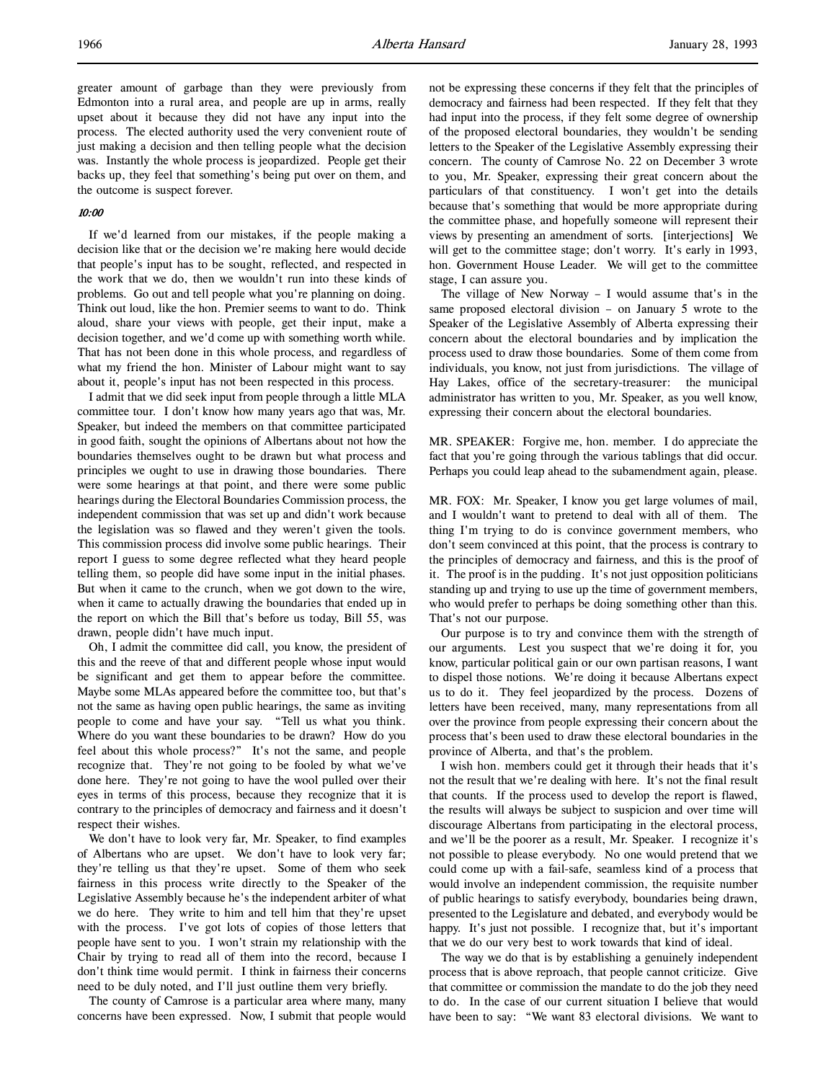greater amount of garbage than they were previously from Edmonton into a rural area, and people are up in arms, really upset about it because they did not have any input into the process. The elected authority used the very convenient route of just making a decision and then telling people what the decision was. Instantly the whole process is jeopardized. People get their backs up, they feel that something's being put over on them, and the outcome is suspect forever.

# 10:00

If we'd learned from our mistakes, if the people making a decision like that or the decision we're making here would decide that people's input has to be sought, reflected, and respected in the work that we do, then we wouldn't run into these kinds of problems. Go out and tell people what you're planning on doing. Think out loud, like the hon. Premier seems to want to do. Think aloud, share your views with people, get their input, make a decision together, and we'd come up with something worth while. That has not been done in this whole process, and regardless of what my friend the hon. Minister of Labour might want to say about it, people's input has not been respected in this process.

I admit that we did seek input from people through a little MLA committee tour. I don't know how many years ago that was, Mr. Speaker, but indeed the members on that committee participated in good faith, sought the opinions of Albertans about not how the boundaries themselves ought to be drawn but what process and principles we ought to use in drawing those boundaries. There were some hearings at that point, and there were some public hearings during the Electoral Boundaries Commission process, the independent commission that was set up and didn't work because the legislation was so flawed and they weren't given the tools. This commission process did involve some public hearings. Their report I guess to some degree reflected what they heard people telling them, so people did have some input in the initial phases. But when it came to the crunch, when we got down to the wire, when it came to actually drawing the boundaries that ended up in the report on which the Bill that's before us today, Bill 55, was drawn, people didn't have much input.

Oh, I admit the committee did call, you know, the president of this and the reeve of that and different people whose input would be significant and get them to appear before the committee. Maybe some MLAs appeared before the committee too, but that's not the same as having open public hearings, the same as inviting people to come and have your say. "Tell us what you think. Where do you want these boundaries to be drawn? How do you feel about this whole process?" It's not the same, and people recognize that. They're not going to be fooled by what we've done here. They're not going to have the wool pulled over their eyes in terms of this process, because they recognize that it is contrary to the principles of democracy and fairness and it doesn't respect their wishes.

We don't have to look very far, Mr. Speaker, to find examples of Albertans who are upset. We don't have to look very far; they're telling us that they're upset. Some of them who seek fairness in this process write directly to the Speaker of the Legislative Assembly because he's the independent arbiter of what we do here. They write to him and tell him that they're upset with the process. I've got lots of copies of those letters that people have sent to you. I won't strain my relationship with the Chair by trying to read all of them into the record, because I don't think time would permit. I think in fairness their concerns need to be duly noted, and I'll just outline them very briefly.

The county of Camrose is a particular area where many, many concerns have been expressed. Now, I submit that people would not be expressing these concerns if they felt that the principles of democracy and fairness had been respected. If they felt that they had input into the process, if they felt some degree of ownership of the proposed electoral boundaries, they wouldn't be sending letters to the Speaker of the Legislative Assembly expressing their concern. The county of Camrose No. 22 on December 3 wrote to you, Mr. Speaker, expressing their great concern about the particulars of that constituency. I won't get into the details because that's something that would be more appropriate during the committee phase, and hopefully someone will represent their views by presenting an amendment of sorts. [interjections] We will get to the committee stage; don't worry. It's early in 1993, hon. Government House Leader. We will get to the committee stage, I can assure you.

The village of New Norway – I would assume that's in the same proposed electoral division – on January 5 wrote to the Speaker of the Legislative Assembly of Alberta expressing their concern about the electoral boundaries and by implication the process used to draw those boundaries. Some of them come from individuals, you know, not just from jurisdictions. The village of Hay Lakes, office of the secretary-treasurer: the municipal administrator has written to you, Mr. Speaker, as you well know, expressing their concern about the electoral boundaries.

MR. SPEAKER: Forgive me, hon. member. I do appreciate the fact that you're going through the various tablings that did occur. Perhaps you could leap ahead to the subamendment again, please.

MR. FOX: Mr. Speaker, I know you get large volumes of mail, and I wouldn't want to pretend to deal with all of them. The thing I'm trying to do is convince government members, who don't seem convinced at this point, that the process is contrary to the principles of democracy and fairness, and this is the proof of it. The proof is in the pudding. It's not just opposition politicians standing up and trying to use up the time of government members, who would prefer to perhaps be doing something other than this. That's not our purpose.

Our purpose is to try and convince them with the strength of our arguments. Lest you suspect that we're doing it for, you know, particular political gain or our own partisan reasons, I want to dispel those notions. We're doing it because Albertans expect us to do it. They feel jeopardized by the process. Dozens of letters have been received, many, many representations from all over the province from people expressing their concern about the process that's been used to draw these electoral boundaries in the province of Alberta, and that's the problem.

I wish hon. members could get it through their heads that it's not the result that we're dealing with here. It's not the final result that counts. If the process used to develop the report is flawed, the results will always be subject to suspicion and over time will discourage Albertans from participating in the electoral process, and we'll be the poorer as a result, Mr. Speaker. I recognize it's not possible to please everybody. No one would pretend that we could come up with a fail-safe, seamless kind of a process that would involve an independent commission, the requisite number of public hearings to satisfy everybody, boundaries being drawn, presented to the Legislature and debated, and everybody would be happy. It's just not possible. I recognize that, but it's important that we do our very best to work towards that kind of ideal.

The way we do that is by establishing a genuinely independent process that is above reproach, that people cannot criticize. Give that committee or commission the mandate to do the job they need to do. In the case of our current situation I believe that would have been to say: "We want 83 electoral divisions. We want to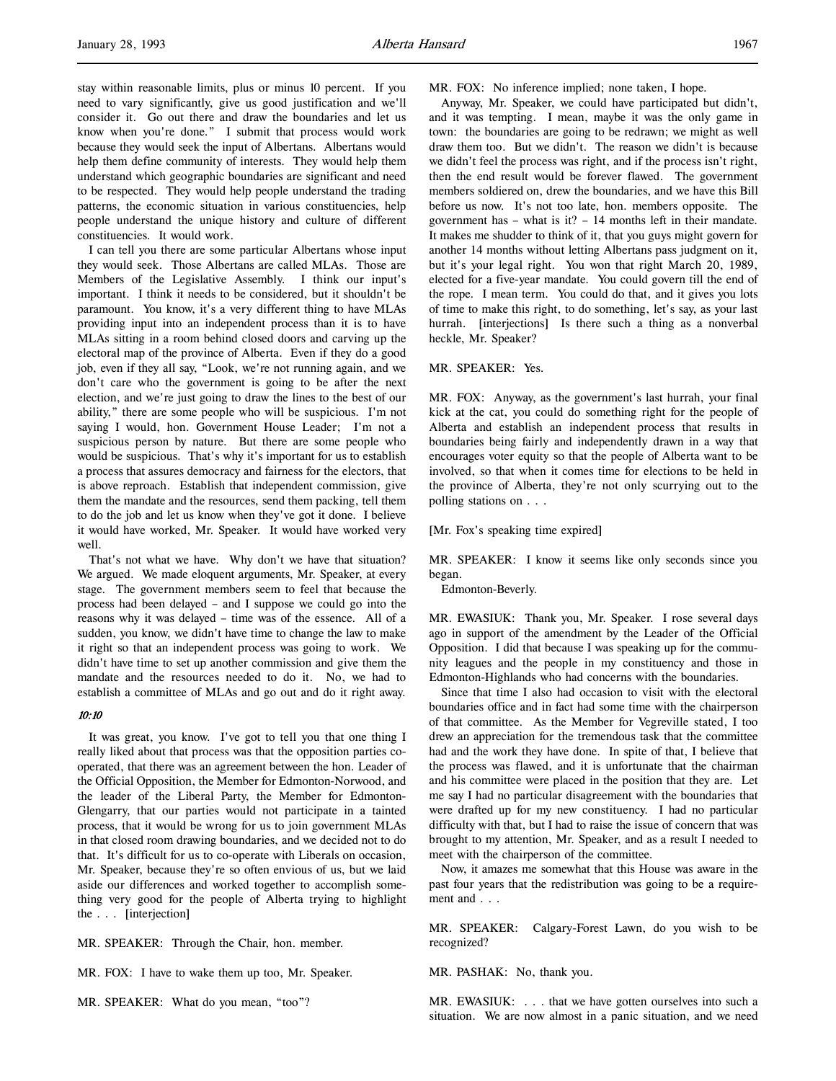stay within reasonable limits, plus or minus 10 percent. If you need to vary significantly, give us good justification and we'll consider it. Go out there and draw the boundaries and let us know when you're done." I submit that process would work because they would seek the input of Albertans. Albertans would help them define community of interests. They would help them understand which geographic boundaries are significant and need to be respected. They would help people understand the trading patterns, the economic situation in various constituencies, help people understand the unique history and culture of different constituencies. It would work.

I can tell you there are some particular Albertans whose input they would seek. Those Albertans are called MLAs. Those are Members of the Legislative Assembly. I think our input's important. I think it needs to be considered, but it shouldn't be paramount. You know, it's a very different thing to have MLAs providing input into an independent process than it is to have MLAs sitting in a room behind closed doors and carving up the electoral map of the province of Alberta. Even if they do a good job, even if they all say, "Look, we're not running again, and we don't care who the government is going to be after the next election, and we're just going to draw the lines to the best of our ability," there are some people who will be suspicious. I'm not saying I would, hon. Government House Leader; I'm not a suspicious person by nature. But there are some people who would be suspicious. That's why it's important for us to establish a process that assures democracy and fairness for the electors, that is above reproach. Establish that independent commission, give them the mandate and the resources, send them packing, tell them to do the job and let us know when they've got it done. I believe it would have worked, Mr. Speaker. It would have worked very well.

That's not what we have. Why don't we have that situation? We argued. We made eloquent arguments, Mr. Speaker, at every stage. The government members seem to feel that because the process had been delayed – and I suppose we could go into the reasons why it was delayed – time was of the essence. All of a sudden, you know, we didn't have time to change the law to make it right so that an independent process was going to work. We didn't have time to set up another commission and give them the mandate and the resources needed to do it. No, we had to establish a committee of MLAs and go out and do it right away.

### 10:10

It was great, you know. I've got to tell you that one thing I really liked about that process was that the opposition parties cooperated, that there was an agreement between the hon. Leader of the Official Opposition, the Member for Edmonton-Norwood, and the leader of the Liberal Party, the Member for Edmonton-Glengarry, that our parties would not participate in a tainted process, that it would be wrong for us to join government MLAs in that closed room drawing boundaries, and we decided not to do that. It's difficult for us to co-operate with Liberals on occasion, Mr. Speaker, because they're so often envious of us, but we laid aside our differences and worked together to accomplish something very good for the people of Alberta trying to highlight the . . . [interjection]

MR. SPEAKER: Through the Chair, hon. member.

MR. FOX: I have to wake them up too, Mr. Speaker.

MR. SPEAKER: What do you mean, "too"?

MR. FOX: No inference implied; none taken, I hope.

Anyway, Mr. Speaker, we could have participated but didn't, and it was tempting. I mean, maybe it was the only game in town: the boundaries are going to be redrawn; we might as well draw them too. But we didn't. The reason we didn't is because we didn't feel the process was right, and if the process isn't right, then the end result would be forever flawed. The government members soldiered on, drew the boundaries, and we have this Bill before us now. It's not too late, hon. members opposite. The government has – what is it? – 14 months left in their mandate. It makes me shudder to think of it, that you guys might govern for another 14 months without letting Albertans pass judgment on it, but it's your legal right. You won that right March 20, 1989, elected for a five-year mandate. You could govern till the end of the rope. I mean term. You could do that, and it gives you lots of time to make this right, to do something, let's say, as your last hurrah. [interjections] Is there such a thing as a nonverbal heckle, Mr. Speaker?

# MR. SPEAKER: Yes.

MR. FOX: Anyway, as the government's last hurrah, your final kick at the cat, you could do something right for the people of Alberta and establish an independent process that results in boundaries being fairly and independently drawn in a way that encourages voter equity so that the people of Alberta want to be involved, so that when it comes time for elections to be held in the province of Alberta, they're not only scurrying out to the polling stations on . . .

#### [Mr. Fox's speaking time expired]

MR. SPEAKER: I know it seems like only seconds since you began.

Edmonton-Beverly.

MR. EWASIUK: Thank you, Mr. Speaker. I rose several days ago in support of the amendment by the Leader of the Official Opposition. I did that because I was speaking up for the community leagues and the people in my constituency and those in Edmonton-Highlands who had concerns with the boundaries.

Since that time I also had occasion to visit with the electoral boundaries office and in fact had some time with the chairperson of that committee. As the Member for Vegreville stated, I too drew an appreciation for the tremendous task that the committee had and the work they have done. In spite of that, I believe that the process was flawed, and it is unfortunate that the chairman and his committee were placed in the position that they are. Let me say I had no particular disagreement with the boundaries that were drafted up for my new constituency. I had no particular difficulty with that, but I had to raise the issue of concern that was brought to my attention, Mr. Speaker, and as a result I needed to meet with the chairperson of the committee.

Now, it amazes me somewhat that this House was aware in the past four years that the redistribution was going to be a requirement and . . .

MR. SPEAKER: Calgary-Forest Lawn, do you wish to be recognized?

MR. PASHAK: No, thank you.

MR. EWASIUK: . . . that we have gotten ourselves into such a situation. We are now almost in a panic situation, and we need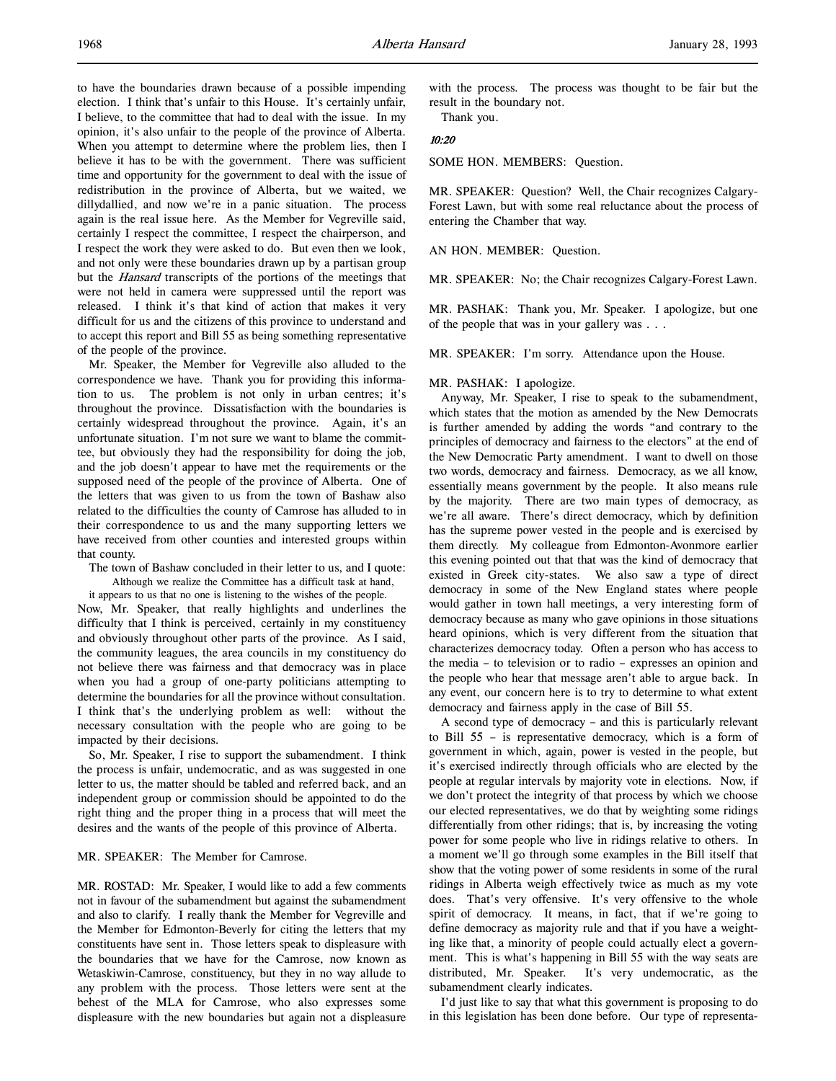to have the boundaries drawn because of a possible impending election. I think that's unfair to this House. It's certainly unfair, I believe, to the committee that had to deal with the issue. In my opinion, it's also unfair to the people of the province of Alberta. When you attempt to determine where the problem lies, then I believe it has to be with the government. There was sufficient time and opportunity for the government to deal with the issue of redistribution in the province of Alberta, but we waited, we dillydallied, and now we're in a panic situation. The process again is the real issue here. As the Member for Vegreville said, certainly I respect the committee, I respect the chairperson, and I respect the work they were asked to do. But even then we look, and not only were these boundaries drawn up by a partisan group but the Hansard transcripts of the portions of the meetings that were not held in camera were suppressed until the report was released. I think it's that kind of action that makes it very difficult for us and the citizens of this province to understand and to accept this report and Bill 55 as being something representative of the people of the province.

Mr. Speaker, the Member for Vegreville also alluded to the correspondence we have. Thank you for providing this information to us. The problem is not only in urban centres; it's throughout the province. Dissatisfaction with the boundaries is certainly widespread throughout the province. Again, it's an unfortunate situation. I'm not sure we want to blame the committee, but obviously they had the responsibility for doing the job, and the job doesn't appear to have met the requirements or the supposed need of the people of the province of Alberta. One of the letters that was given to us from the town of Bashaw also related to the difficulties the county of Camrose has alluded to in their correspondence to us and the many supporting letters we have received from other counties and interested groups within that county.

The town of Bashaw concluded in their letter to us, and I quote:

Although we realize the Committee has a difficult task at hand, it appears to us that no one is listening to the wishes of the people. Now, Mr. Speaker, that really highlights and underlines the difficulty that I think is perceived, certainly in my constituency and obviously throughout other parts of the province. As I said, the community leagues, the area councils in my constituency do not believe there was fairness and that democracy was in place when you had a group of one-party politicians attempting to determine the boundaries for all the province without consultation. I think that's the underlying problem as well: without the necessary consultation with the people who are going to be impacted by their decisions.

So, Mr. Speaker, I rise to support the subamendment. I think the process is unfair, undemocratic, and as was suggested in one letter to us, the matter should be tabled and referred back, and an independent group or commission should be appointed to do the right thing and the proper thing in a process that will meet the desires and the wants of the people of this province of Alberta.

# MR. SPEAKER: The Member for Camrose.

MR. ROSTAD: Mr. Speaker, I would like to add a few comments not in favour of the subamendment but against the subamendment and also to clarify. I really thank the Member for Vegreville and the Member for Edmonton-Beverly for citing the letters that my constituents have sent in. Those letters speak to displeasure with the boundaries that we have for the Camrose, now known as Wetaskiwin-Camrose, constituency, but they in no way allude to any problem with the process. Those letters were sent at the behest of the MLA for Camrose, who also expresses some displeasure with the new boundaries but again not a displeasure with the process. The process was thought to be fair but the result in the boundary not.

Thank you.

### 10:20

SOME HON. MEMBERS: Question.

MR. SPEAKER: Question? Well, the Chair recognizes Calgary-Forest Lawn, but with some real reluctance about the process of entering the Chamber that way.

AN HON. MEMBER: Question.

MR. SPEAKER: No; the Chair recognizes Calgary-Forest Lawn.

MR. PASHAK: Thank you, Mr. Speaker. I apologize, but one of the people that was in your gallery was . . .

MR. SPEAKER: I'm sorry. Attendance upon the House.

### MR. PASHAK: I apologize.

Anyway, Mr. Speaker, I rise to speak to the subamendment, which states that the motion as amended by the New Democrats is further amended by adding the words "and contrary to the principles of democracy and fairness to the electors" at the end of the New Democratic Party amendment. I want to dwell on those two words, democracy and fairness. Democracy, as we all know, essentially means government by the people. It also means rule by the majority. There are two main types of democracy, as we're all aware. There's direct democracy, which by definition has the supreme power vested in the people and is exercised by them directly. My colleague from Edmonton-Avonmore earlier this evening pointed out that that was the kind of democracy that existed in Greek city-states. We also saw a type of direct democracy in some of the New England states where people would gather in town hall meetings, a very interesting form of democracy because as many who gave opinions in those situations heard opinions, which is very different from the situation that characterizes democracy today. Often a person who has access to the media – to television or to radio – expresses an opinion and the people who hear that message aren't able to argue back. In any event, our concern here is to try to determine to what extent democracy and fairness apply in the case of Bill 55.

A second type of democracy – and this is particularly relevant to Bill 55 – is representative democracy, which is a form of government in which, again, power is vested in the people, but it's exercised indirectly through officials who are elected by the people at regular intervals by majority vote in elections. Now, if we don't protect the integrity of that process by which we choose our elected representatives, we do that by weighting some ridings differentially from other ridings; that is, by increasing the voting power for some people who live in ridings relative to others. In a moment we'll go through some examples in the Bill itself that show that the voting power of some residents in some of the rural ridings in Alberta weigh effectively twice as much as my vote does. That's very offensive. It's very offensive to the whole spirit of democracy. It means, in fact, that if we're going to define democracy as majority rule and that if you have a weighting like that, a minority of people could actually elect a government. This is what's happening in Bill 55 with the way seats are distributed, Mr. Speaker. It's very undemocratic, as the subamendment clearly indicates.

I'd just like to say that what this government is proposing to do in this legislation has been done before. Our type of representa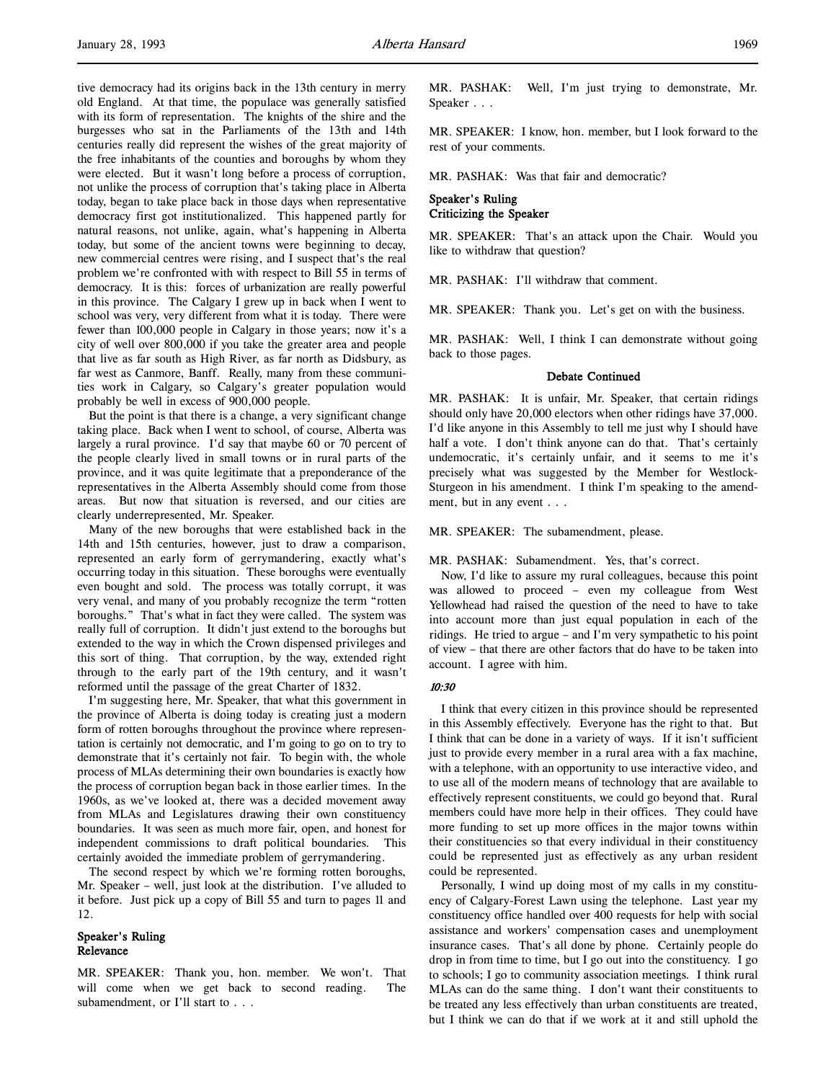tive democracy had its origins back in the 13th century in merry old England. At that time, the populace was generally satisfied with its form of representation. The knights of the shire and the burgesses who sat in the Parliaments of the 13th and 14th centuries really did represent the wishes of the great majority of the free inhabitants of the counties and boroughs by whom they were elected. But it wasn't long before a process of corruption, not unlike the process of corruption that's taking place in Alberta today, began to take place back in those days when representative democracy first got institutionalized. This happened partly for natural reasons, not unlike, again, what's happening in Alberta today, but some of the ancient towns were beginning to decay, new commercial centres were rising, and I suspect that's the real problem we're confronted with with respect to Bill 55 in terms of democracy. It is this: forces of urbanization are really powerful in this province. The Calgary I grew up in back when I went to school was very, very different from what it is today. There were fewer than 100,000 people in Calgary in those years; now it's a city of well over 800,000 if you take the greater area and people that live as far south as High River, as far north as Didsbury, as far west as Canmore, Banff. Really, many from these communities work in Calgary, so Calgary's greater population would probably be well in excess of 900,000 people.

But the point is that there is a change, a very significant change taking place. Back when I went to school, of course, Alberta was largely a rural province. I'd say that maybe 60 or 70 percent of the people clearly lived in small towns or in rural parts of the province, and it was quite legitimate that a preponderance of the representatives in the Alberta Assembly should come from those areas. But now that situation is reversed, and our cities are clearly underrepresented, Mr. Speaker.

Many of the new boroughs that were established back in the 14th and 15th centuries, however, just to draw a comparison, represented an early form of gerrymandering, exactly what's occurring today in this situation. These boroughs were eventually even bought and sold. The process was totally corrupt, it was very venal, and many of you probably recognize the term "rotten boroughs." That's what in fact they were called. The system was really full of corruption. It didn't just extend to the boroughs but extended to the way in which the Crown dispensed privileges and this sort of thing. That corruption, by the way, extended right through to the early part of the 19th century, and it wasn't reformed until the passage of the great Charter of 1832.

I'm suggesting here, Mr. Speaker, that what this government in the province of Alberta is doing today is creating just a modern form of rotten boroughs throughout the province where representation is certainly not democratic, and I'm going to go on to try to demonstrate that it's certainly not fair. To begin with, the whole process of MLAs determining their own boundaries is exactly how the process of corruption began back in those earlier times. In the 1960s, as we've looked at, there was a decided movement away from MLAs and Legislatures drawing their own constituency boundaries. It was seen as much more fair, open, and honest for independent commissions to draft political boundaries. This certainly avoided the immediate problem of gerrymandering.

The second respect by which we're forming rotten boroughs, Mr. Speaker – well, just look at the distribution. I've alluded to it before. Just pick up a copy of Bill 55 and turn to pages 11 and 12.

# Speaker's Ruling Relevance

MR. SPEAKER: Thank you, hon. member. We won't. That will come when we get back to second reading. The subamendment, or I'll start to . . .

MR. PASHAK: Well, I'm just trying to demonstrate, Mr. Speaker . . .

MR. SPEAKER: I know, hon. member, but I look forward to the rest of your comments.

MR. PASHAK: Was that fair and democratic?

# Speaker's Ruling Criticizing the Speaker

MR. SPEAKER: That's an attack upon the Chair. Would you like to withdraw that question?

MR. PASHAK: I'll withdraw that comment.

MR. SPEAKER: Thank you. Let's get on with the business.

MR. PASHAK: Well, I think I can demonstrate without going back to those pages.

### Debate Continued

MR. PASHAK: It is unfair, Mr. Speaker, that certain ridings should only have 20,000 electors when other ridings have 37,000. I'd like anyone in this Assembly to tell me just why I should have half a vote. I don't think anyone can do that. That's certainly undemocratic, it's certainly unfair, and it seems to me it's precisely what was suggested by the Member for Westlock-Sturgeon in his amendment. I think I'm speaking to the amendment, but in any event . . .

MR. SPEAKER: The subamendment, please.

# MR. PASHAK: Subamendment. Yes, that's correct.

Now, I'd like to assure my rural colleagues, because this point was allowed to proceed – even my colleague from West Yellowhead had raised the question of the need to have to take into account more than just equal population in each of the ridings. He tried to argue – and I'm very sympathetic to his point of view – that there are other factors that do have to be taken into account. I agree with him.

#### 10:30

I think that every citizen in this province should be represented in this Assembly effectively. Everyone has the right to that. But I think that can be done in a variety of ways. If it isn't sufficient just to provide every member in a rural area with a fax machine, with a telephone, with an opportunity to use interactive video, and to use all of the modern means of technology that are available to effectively represent constituents, we could go beyond that. Rural members could have more help in their offices. They could have more funding to set up more offices in the major towns within their constituencies so that every individual in their constituency could be represented just as effectively as any urban resident could be represented.

Personally, I wind up doing most of my calls in my constituency of Calgary-Forest Lawn using the telephone. Last year my constituency office handled over 400 requests for help with social assistance and workers' compensation cases and unemployment insurance cases. That's all done by phone. Certainly people do drop in from time to time, but I go out into the constituency. I go to schools; I go to community association meetings. I think rural MLAs can do the same thing. I don't want their constituents to be treated any less effectively than urban constituents are treated, but I think we can do that if we work at it and still uphold the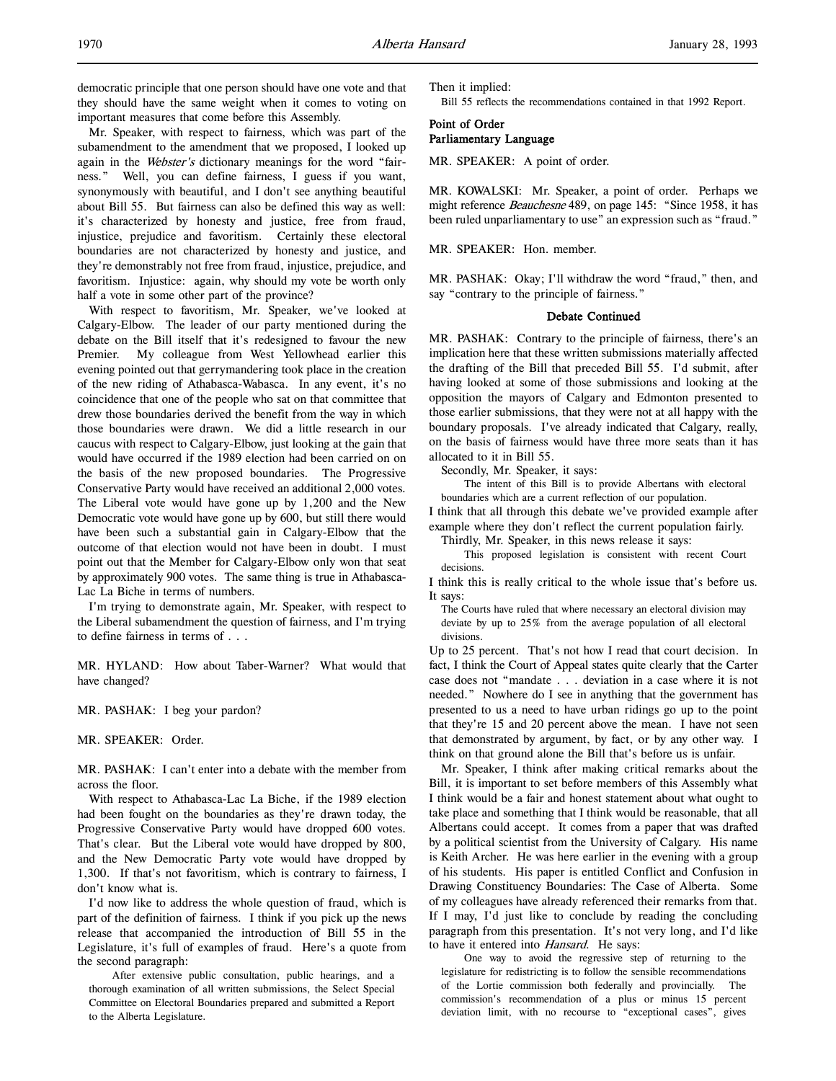Mr. Speaker, with respect to fairness, which was part of the subamendment to the amendment that we proposed, I looked up again in the Webster's dictionary meanings for the word "fairness." Well, you can define fairness, I guess if you want, synonymously with beautiful, and I don't see anything beautiful about Bill 55. But fairness can also be defined this way as well: it's characterized by honesty and justice, free from fraud, injustice, prejudice and favoritism. Certainly these electoral boundaries are not characterized by honesty and justice, and they're demonstrably not free from fraud, injustice, prejudice, and favoritism. Injustice: again, why should my vote be worth only half a vote in some other part of the province?

With respect to favoritism, Mr. Speaker, we've looked at Calgary-Elbow. The leader of our party mentioned during the debate on the Bill itself that it's redesigned to favour the new Premier. My colleague from West Yellowhead earlier this evening pointed out that gerrymandering took place in the creation of the new riding of Athabasca-Wabasca. In any event, it's no coincidence that one of the people who sat on that committee that drew those boundaries derived the benefit from the way in which those boundaries were drawn. We did a little research in our caucus with respect to Calgary-Elbow, just looking at the gain that would have occurred if the 1989 election had been carried on on the basis of the new proposed boundaries. The Progressive Conservative Party would have received an additional 2,000 votes. The Liberal vote would have gone up by 1,200 and the New Democratic vote would have gone up by 600, but still there would have been such a substantial gain in Calgary-Elbow that the outcome of that election would not have been in doubt. I must point out that the Member for Calgary-Elbow only won that seat by approximately 900 votes. The same thing is true in Athabasca-Lac La Biche in terms of numbers.

I'm trying to demonstrate again, Mr. Speaker, with respect to the Liberal subamendment the question of fairness, and I'm trying to define fairness in terms of . . .

MR. HYLAND: How about Taber-Warner? What would that have changed?

MR. PASHAK: I beg your pardon?

### MR. SPEAKER: Order.

MR. PASHAK: I can't enter into a debate with the member from across the floor.

With respect to Athabasca-Lac La Biche, if the 1989 election had been fought on the boundaries as they're drawn today, the Progressive Conservative Party would have dropped 600 votes. That's clear. But the Liberal vote would have dropped by 800, and the New Democratic Party vote would have dropped by 1,300. If that's not favoritism, which is contrary to fairness, I don't know what is.

I'd now like to address the whole question of fraud, which is part of the definition of fairness. I think if you pick up the news release that accompanied the introduction of Bill 55 in the Legislature, it's full of examples of fraud. Here's a quote from the second paragraph:

After extensive public consultation, public hearings, and a thorough examination of all written submissions, the Select Special Committee on Electoral Boundaries prepared and submitted a Report to the Alberta Legislature.

Then it implied:

Bill 55 reflects the recommendations contained in that 1992 Report.

# Point of Order Parliamentary Language

MR. SPEAKER: A point of order.

MR. KOWALSKI: Mr. Speaker, a point of order. Perhaps we might reference *Beauchesne* 489, on page 145: "Since 1958, it has been ruled unparliamentary to use" an expression such as "fraud."

MR. SPEAKER: Hon. member.

MR. PASHAK: Okay; I'll withdraw the word "fraud," then, and say "contrary to the principle of fairness."

### Debate Continued

MR. PASHAK: Contrary to the principle of fairness, there's an implication here that these written submissions materially affected the drafting of the Bill that preceded Bill 55. I'd submit, after having looked at some of those submissions and looking at the opposition the mayors of Calgary and Edmonton presented to those earlier submissions, that they were not at all happy with the boundary proposals. I've already indicated that Calgary, really, on the basis of fairness would have three more seats than it has allocated to it in Bill 55.

Secondly, Mr. Speaker, it says:

The intent of this Bill is to provide Albertans with electoral boundaries which are a current reflection of our population.

I think that all through this debate we've provided example after example where they don't reflect the current population fairly.

Thirdly, Mr. Speaker, in this news release it says:

This proposed legislation is consistent with recent Court decisions.

I think this is really critical to the whole issue that's before us. It says:

The Courts have ruled that where necessary an electoral division may deviate by up to 25% from the average population of all electoral divisions.

Up to 25 percent. That's not how I read that court decision. In fact, I think the Court of Appeal states quite clearly that the Carter case does not "mandate . . . deviation in a case where it is not needed." Nowhere do I see in anything that the government has presented to us a need to have urban ridings go up to the point that they're 15 and 20 percent above the mean. I have not seen that demonstrated by argument, by fact, or by any other way. I think on that ground alone the Bill that's before us is unfair.

Mr. Speaker, I think after making critical remarks about the Bill, it is important to set before members of this Assembly what I think would be a fair and honest statement about what ought to take place and something that I think would be reasonable, that all Albertans could accept. It comes from a paper that was drafted by a political scientist from the University of Calgary. His name is Keith Archer. He was here earlier in the evening with a group of his students. His paper is entitled Conflict and Confusion in Drawing Constituency Boundaries: The Case of Alberta. Some of my colleagues have already referenced their remarks from that. If I may, I'd just like to conclude by reading the concluding paragraph from this presentation. It's not very long, and I'd like to have it entered into Hansard. He says:

One way to avoid the regressive step of returning to the legislature for redistricting is to follow the sensible recommendations of the Lortie commission both federally and provincially. The commission's recommendation of a plus or minus 15 percent deviation limit, with no recourse to "exceptional cases", gives